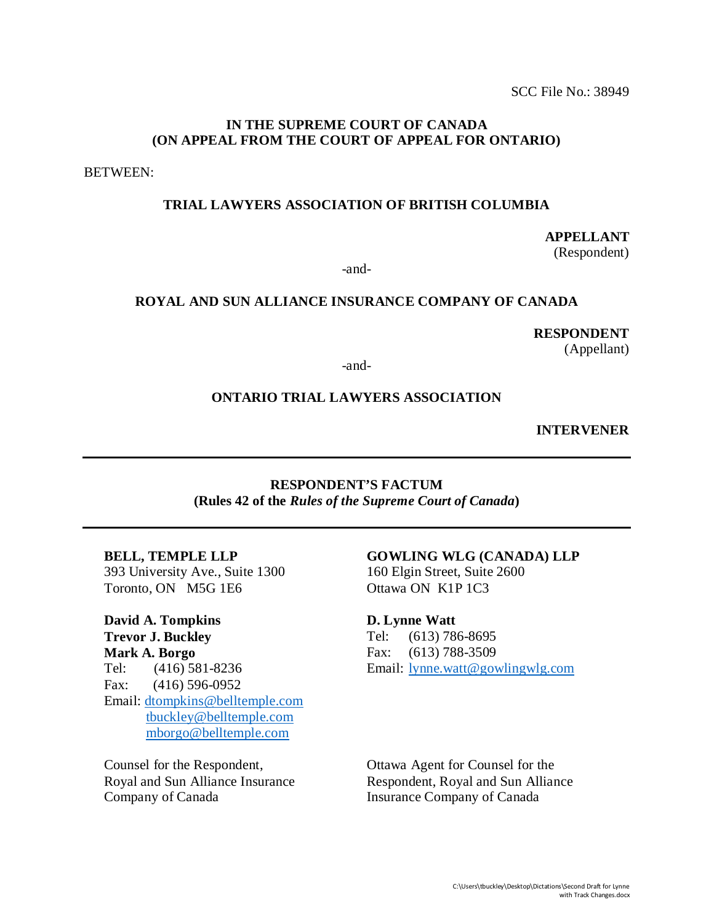## **IN THE SUPREME COURT OF CANADA (ON APPEAL FROM THE COURT OF APPEAL FOR ONTARIO)**

BETWEEN:

#### **TRIAL LAWYERS ASSOCIATION OF BRITISH COLUMBIA**

**APPELLANT**  (Respondent)

-and-

#### **ROYAL AND SUN ALLIANCE INSURANCE COMPANY OF CANADA**

**RESPONDENT**

(Appellant)

-and-

#### **ONTARIO TRIAL LAWYERS ASSOCIATION**

**INTERVENER**

#### **RESPONDENT'S FACTUM (Rules 42 of the** *Rules of the Supreme Court of Canada***)**

#### **BELL, TEMPLE LLP**

393 University Ave., Suite 1300 Toronto, ON M5G 1E6

**David A. Tompkins Trevor J. Buckley Mark A. Borgo** Tel: (416) 581-8236 Fax: (416) 596-0952 Email: [dtompkins@belltemple.com](mailto:dabreu@belltemple.com) tbuckley@belltemple.com [mborgo@belltemple.com](mailto:mborgo@belltemple.com)

Counsel for the Respondent, Royal and Sun Alliance Insurance Company of Canada

#### **GOWLING WLG (CANADA) LLP** 160 Elgin Street, Suite 2600

Ottawa ON K1P 1C3

#### **D. Lynne Watt**

Tel: (613) 786-8695 Fax: (613) 788-3509 Email: [lynne.watt@gowlingwlg.com](mailto:lynne.watt@gowlingwlg.com) 

Ottawa Agent for Counsel for the Respondent, Royal and Sun Alliance Insurance Company of Canada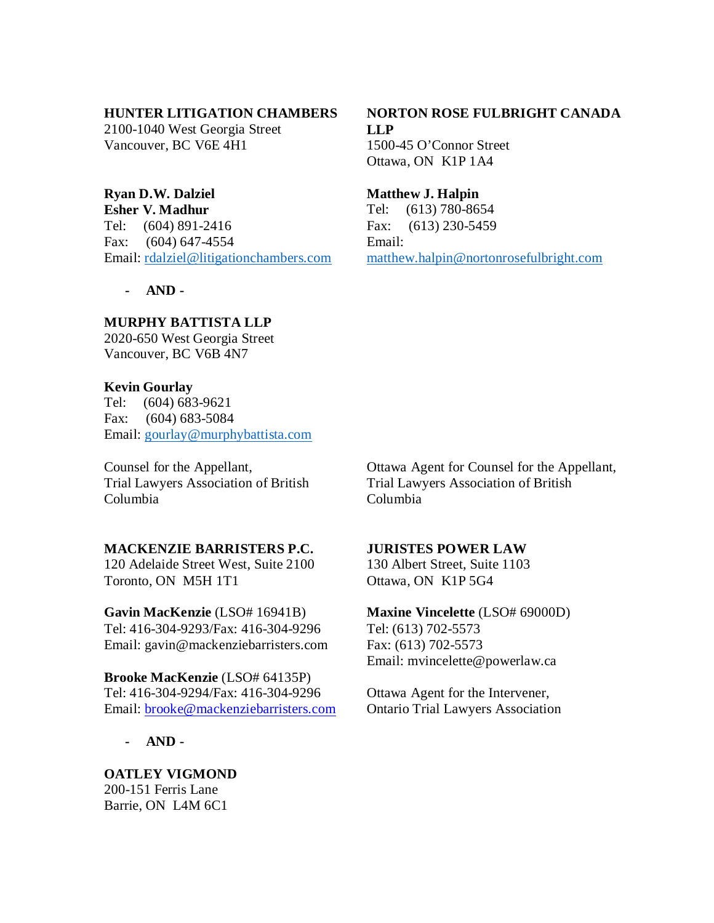#### **HUNTER LITIGATION CHAMBERS**

2100-1040 West Georgia Street Vancouver, BC V6E 4H1

## **Ryan D.W. Dalziel**

**Esher V. Madhur** Tel: (604) 891-2416 Fax: (604) 647-4554 Email: rdalziel@litigationchambers.com

**- AND -**

## **MURPHY BATTISTA LLP**

2020-650 West Georgia Street Vancouver, BC V6B 4N7

## **Kevin Gourlay**

Tel: (604) 683-9621 Fax: (604) 683-5084 Email: gourlay@murphybattista.com

Counsel for the Appellant, Trial Lawyers Association of British Columbia

## **MACKENZIE BARRISTERS P.C.**

120 Adelaide Street West, Suite 2100 Toronto, ON M5H 1T1

**Gavin MacKenzie** (LSO# 16941B) Tel: 416-304-9293/Fax: 416-304-9296 Email: gavin@mackenziebarristers.com

**Brooke MacKenzie** (LSO# 64135P) Tel: 416-304-9294/Fax: 416-304-9296 Email: [brooke@mackenziebarristers.com](mailto:brooke@mackenziebarristers.com)

**- AND -**

**OATLEY VIGMOND** 200-151 Ferris Lane Barrie, ON L4M 6C1

## **NORTON ROSE FULBRIGHT CANADA LLP** 1500-45 O'Connor Street Ottawa, ON K1P 1A4

**Matthew J. Halpin**

Tel: (613) 780-8654 Fax: (613) 230-5459 Email: matthew.halpin@nortonrosefulbright.com

Ottawa Agent for Counsel for the Appellant, Trial Lawyers Association of British Columbia

## **JURISTES POWER LAW**

130 Albert Street, Suite 1103 Ottawa, ON K1P 5G4

**Maxine Vincelette** (LSO# 69000D) Tel: (613) 702-5573 Fax: (613) 702-5573 Email: mvincelette@powerlaw.ca

Ottawa Agent for the Intervener, Ontario Trial Lawyers Association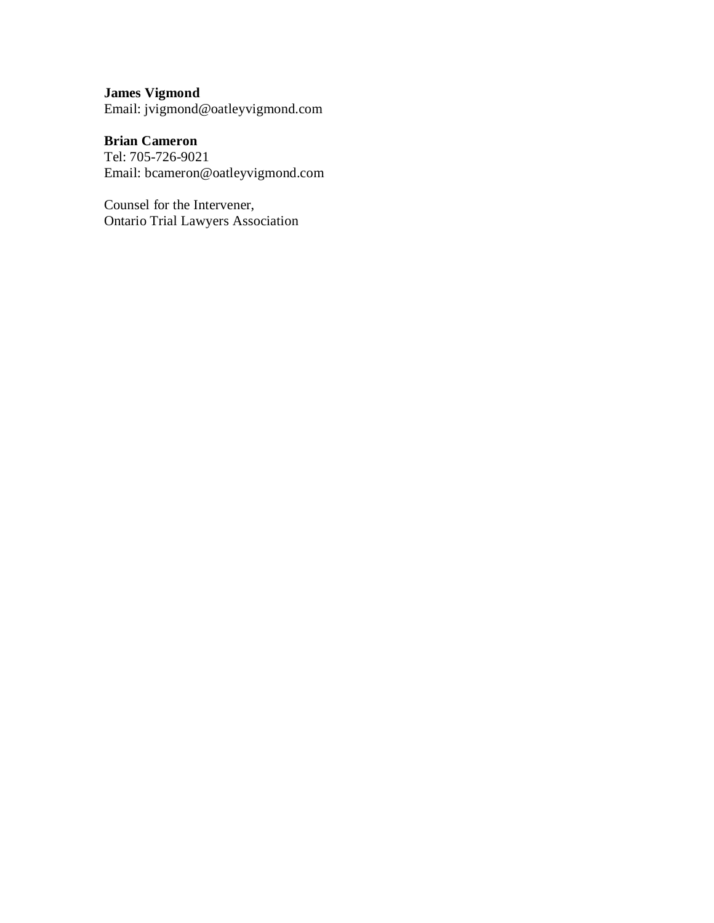# **James Vigmond**

Email: jvigmond@oatleyvigmond.com

## **Brian Cameron**

Tel: 705-726-9021 Email: bcameron@oatleyvigmond.com

Counsel for the Intervener, Ontario Trial Lawyers Association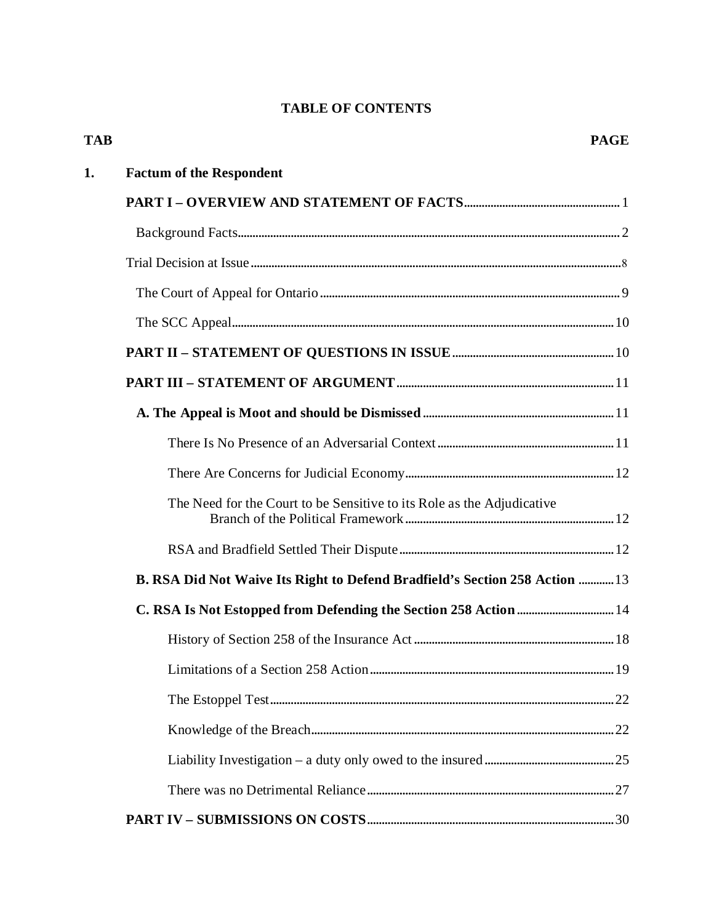## **TABLE OF CONTENTS**

| <b>TAB</b> |                                                                             | <b>PAGE</b> |
|------------|-----------------------------------------------------------------------------|-------------|
| 1.         | <b>Factum of the Respondent</b>                                             |             |
|            |                                                                             |             |
|            |                                                                             |             |
|            |                                                                             |             |
|            |                                                                             |             |
|            |                                                                             |             |
|            |                                                                             |             |
|            |                                                                             |             |
|            |                                                                             |             |
|            |                                                                             |             |
|            |                                                                             |             |
|            | The Need for the Court to be Sensitive to its Role as the Adjudicative      |             |
|            |                                                                             |             |
|            | B. RSA Did Not Waive Its Right to Defend Bradfield's Section 258 Action  13 |             |
|            |                                                                             |             |
|            |                                                                             |             |
|            |                                                                             |             |
|            |                                                                             |             |
|            |                                                                             |             |
|            |                                                                             |             |
|            |                                                                             |             |
|            |                                                                             |             |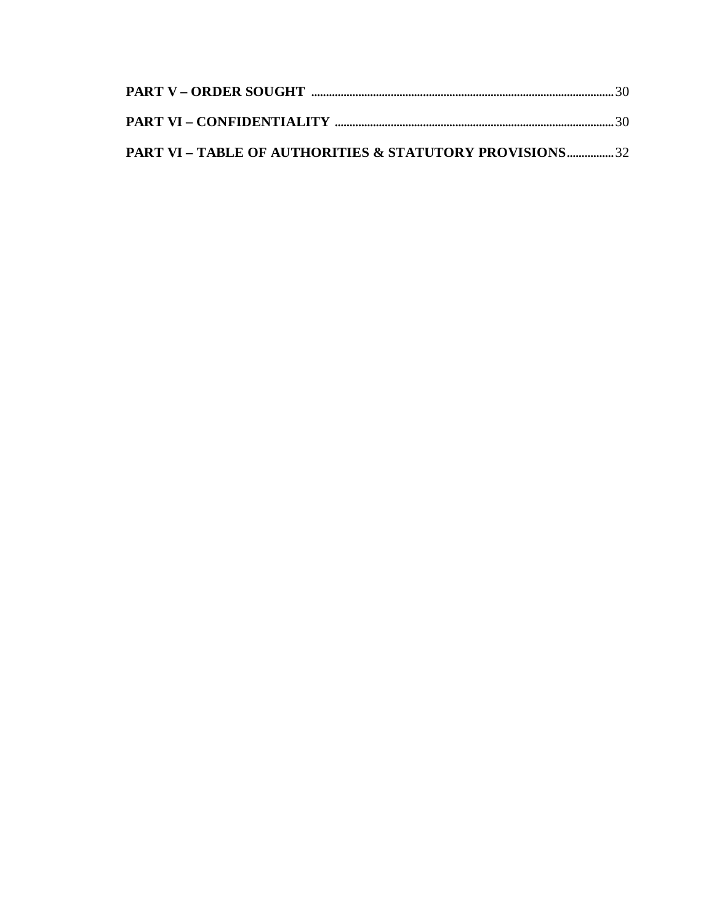| PART VI - TABLE OF AUTHORITIES & STATUTORY PROVISIONS32 |  |
|---------------------------------------------------------|--|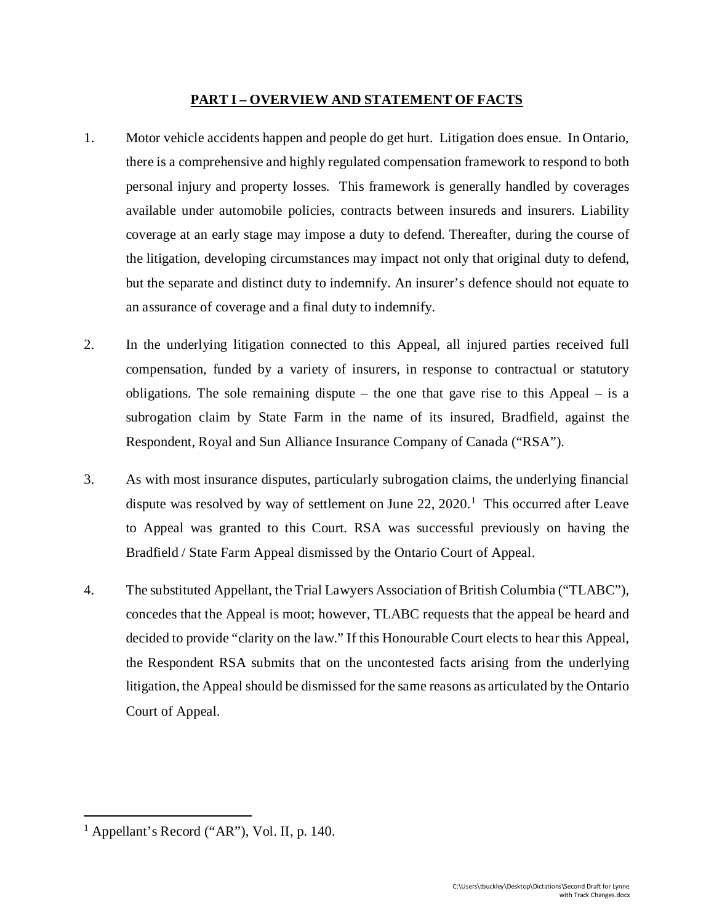## **PART I – OVERVIEW AND STATEMENT OF FACTS**

- 1. Motor vehicle accidents happen and people do get hurt. Litigation does ensue. In Ontario, there is a comprehensive and highly regulated compensation framework to respond to both personal injury and property losses. This framework is generally handled by coverages available under automobile policies, contracts between insureds and insurers. Liability coverage at an early stage may impose a duty to defend. Thereafter, during the course of the litigation, developing circumstances may impact not only that original duty to defend, but the separate and distinct duty to indemnify. An insurer's defence should not equate to an assurance of coverage and a final duty to indemnify.
- 2. In the underlying litigation connected to this Appeal, all injured parties received full compensation, funded by a variety of insurers, in response to contractual or statutory obligations. The sole remaining dispute – the one that gave rise to this Appeal – is a subrogation claim by State Farm in the name of its insured, Bradfield, against the Respondent, Royal and Sun Alliance Insurance Company of Canada ("RSA").
- 3. As with most insurance disputes, particularly subrogation claims, the underlying financial dispute was resolved by way of settlement on June  $22$ ,  $2020$ .<sup>[1](#page-5-0)</sup> This occurred after Leave to Appeal was granted to this Court. RSA was successful previously on having the Bradfield / State Farm Appeal dismissed by the Ontario Court of Appeal.
- 4. The substituted Appellant, the Trial Lawyers Association of British Columbia ("TLABC"), concedes that the Appeal is moot; however, TLABC requests that the appeal be heard and decided to provide "clarity on the law." If this Honourable Court elects to hear this Appeal, the Respondent RSA submits that on the uncontested facts arising from the underlying litigation, the Appeal should be dismissed for the same reasons as articulated by the Ontario Court of Appeal.

<span id="page-5-0"></span><sup>&</sup>lt;sup>1</sup> Appellant's Record ("AR"), Vol. II, p. 140.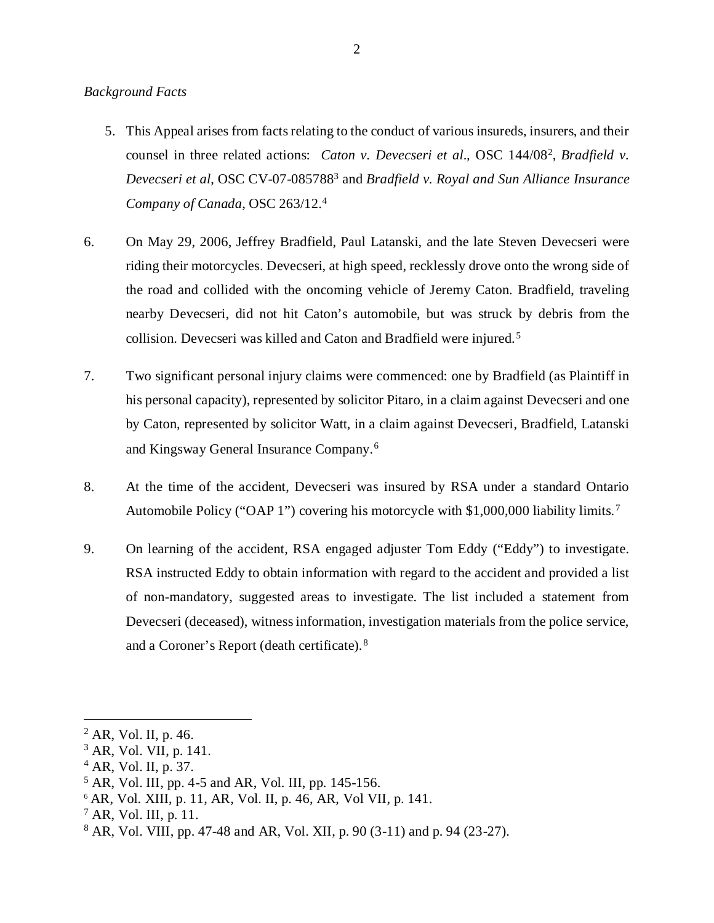#### *Background Facts*

- 5. This Appeal arises from facts relating to the conduct of various insureds, insurers, and their counsel in three related actions: *Caton v. Devecseri et al*.*,* OSC 144/08[2](#page-6-0), *Bradfield v. Devecseri et al*, OSC CV-07-085788[3](#page-6-1) and *Bradfield v. Royal and Sun Alliance Insurance Company of Canada*, OSC 263/12[.4](#page-6-2)
- 6. On May 29, 2006, Jeffrey Bradfield, Paul Latanski, and the late Steven Devecseri were riding their motorcycles. Devecseri, at high speed, recklessly drove onto the wrong side of the road and collided with the oncoming vehicle of Jeremy Caton. Bradfield, traveling nearby Devecseri, did not hit Caton's automobile, but was struck by debris from the collision. Devecseri was killed and Caton and Bradfield were injured. [5](#page-6-3)
- 7. Two significant personal injury claims were commenced: one by Bradfield (as Plaintiff in his personal capacity), represented by solicitor Pitaro, in a claim against Devecseri and one by Caton, represented by solicitor Watt, in a claim against Devecseri, Bradfield, Latanski and Kingsway General Insurance Company. [6](#page-6-4)
- 8. At the time of the accident, Devecseri was insured by RSA under a standard Ontario Automobile Policy ("OAP 1") covering his motorcycle with \$1,000,000 liability limits.<sup>[7](#page-6-5)</sup>
- 9. On learning of the accident, RSA engaged adjuster Tom Eddy ("Eddy") to investigate. RSA instructed Eddy to obtain information with regard to the accident and provided a list of non-mandatory, suggested areas to investigate. The list included a statement from Devecseri (deceased), witness information, investigation materials from the police service, and a Coroner's Report (death certificate). [8](#page-6-6)

<span id="page-6-0"></span> <sup>2</sup> AR, Vol. II, p. 46.

<span id="page-6-1"></span><sup>3</sup> AR, Vol. VII, p. 141.

<span id="page-6-2"></span><sup>4</sup> AR, Vol. II, p. 37.

<span id="page-6-3"></span> $5$  AR, Vol. III, pp. 4-5 and AR, Vol. III, pp. 145-156.

<span id="page-6-4"></span><sup>6</sup> AR, Vol. XIII, p. 11, AR, Vol. II, p. 46, AR, Vol VII, p. 141.

<span id="page-6-5"></span> $^7$  AR, Vol. III, p. 11.

<span id="page-6-6"></span><sup>8</sup> AR, Vol. VIII, pp. 47-48 and AR, Vol. XII, p. 90 (3-11) and p. 94 (23-27).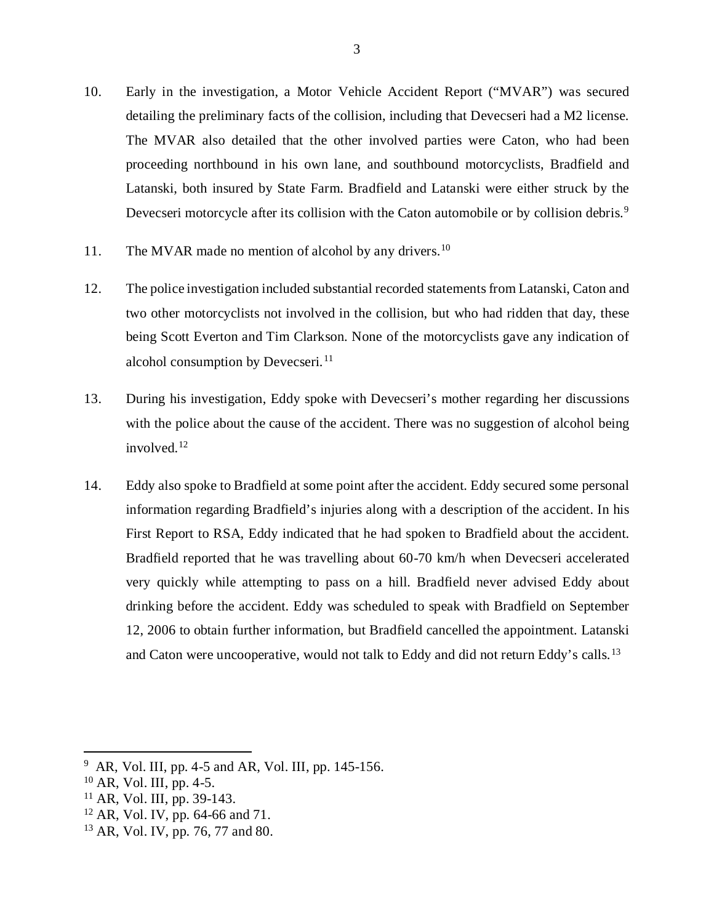- 10. Early in the investigation, a Motor Vehicle Accident Report ("MVAR") was secured detailing the preliminary facts of the collision, including that Devecseri had a M2 license. The MVAR also detailed that the other involved parties were Caton, who had been proceeding northbound in his own lane, and southbound motorcyclists, Bradfield and Latanski, both insured by State Farm. Bradfield and Latanski were either struck by the Devecseri motorcycle after its collision with the Caton automobile or by collision debris.<sup>[9](#page-7-0)</sup>
- 11. The MVAR made no mention of alcohol by any drivers.<sup>[10](#page-7-1)</sup>
- 12. The police investigation included substantial recorded statements from Latanski, Caton and two other motorcyclists not involved in the collision, but who had ridden that day, these being Scott Everton and Tim Clarkson. None of the motorcyclists gave any indication of alcohol consumption by Devecseri.<sup>[11](#page-7-2)</sup>
- 13. During his investigation, Eddy spoke with Devecseri's mother regarding her discussions with the police about the cause of the accident. There was no suggestion of alcohol being involved.[12](#page-7-3)
- 14. Eddy also spoke to Bradfield at some point after the accident. Eddy secured some personal information regarding Bradfield's injuries along with a description of the accident. In his First Report to RSA, Eddy indicated that he had spoken to Bradfield about the accident. Bradfield reported that he was travelling about 60-70 km/h when Devecseri accelerated very quickly while attempting to pass on a hill. Bradfield never advised Eddy about drinking before the accident. Eddy was scheduled to speak with Bradfield on September 12, 2006 to obtain further information, but Bradfield cancelled the appointment. Latanski and Caton were uncooperative, would not talk to Eddy and did not return Eddy's calls.<sup>[13](#page-7-4)</sup>

<span id="page-7-0"></span> <sup>9</sup> AR, Vol. III, pp. 4-5 and AR, Vol. III, pp. 145-156.

<span id="page-7-1"></span> $10$  AR, Vol. III, pp. 4-5.

<span id="page-7-2"></span><sup>11</sup> AR, Vol. III, pp. 39-143.

<span id="page-7-3"></span><sup>12</sup> AR, Vol. IV, pp. 64-66 and 71.

<span id="page-7-4"></span><sup>13</sup> AR, Vol. IV, pp. 76, 77 and 80.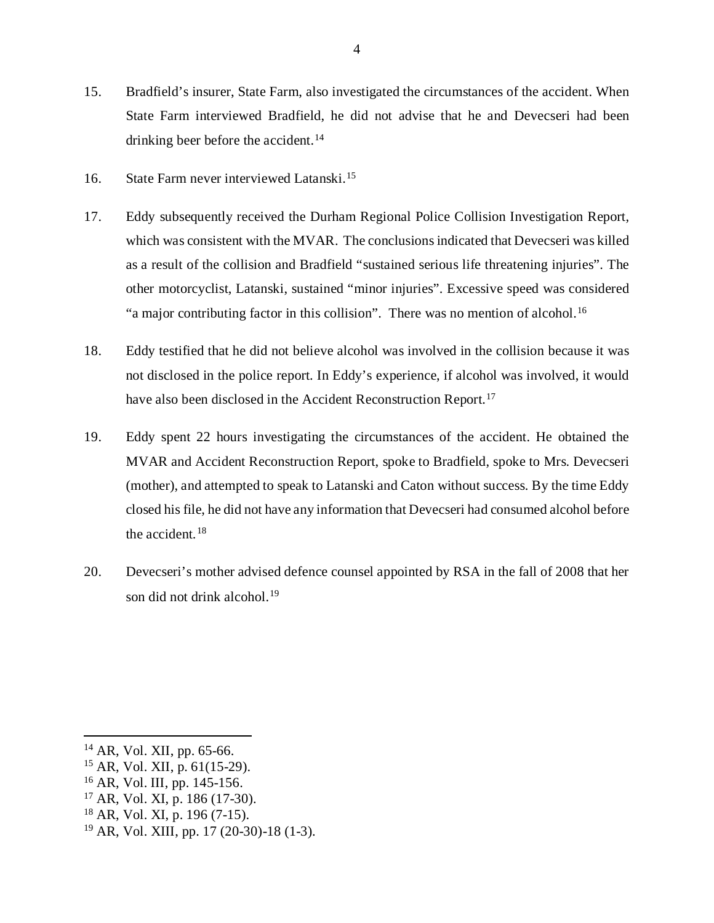- 15. Bradfield's insurer, State Farm, also investigated the circumstances of the accident. When State Farm interviewed Bradfield, he did not advise that he and Devecseri had been drinking beer before the accident.<sup>[14](#page-8-0)</sup>
- 16. State Farm never interviewed Latanski.[15](#page-8-1)
- 17. Eddy subsequently received the Durham Regional Police Collision Investigation Report, which was consistent with the MVAR. The conclusions indicated that Devecseri was killed as a result of the collision and Bradfield "sustained serious life threatening injuries". The other motorcyclist, Latanski, sustained "minor injuries". Excessive speed was considered "a major contributing factor in this collision". There was no mention of alcohol.<sup>[16](#page-8-2)</sup>
- 18. Eddy testified that he did not believe alcohol was involved in the collision because it was not disclosed in the police report. In Eddy's experience, if alcohol was involved, it would have also been disclosed in the Accident Reconstruction Report.<sup>[17](#page-8-3)</sup>
- 19. Eddy spent 22 hours investigating the circumstances of the accident. He obtained the MVAR and Accident Reconstruction Report, spoke to Bradfield, spoke to Mrs. Devecseri (mother), and attempted to speak to Latanski and Caton without success. By the time Eddy closed his file, he did not have any information that Devecseri had consumed alcohol before the accident.  $18$
- 20. Devecseri's mother advised defence counsel appointed by RSA in the fall of 2008 that her son did not drink alcohol.<sup>[19](#page-8-5)</sup>

- <span id="page-8-2"></span><sup>16</sup> AR, Vol. III, pp. 145-156.
- <span id="page-8-3"></span><sup>17</sup> AR, Vol. XI, p. 186 (17-30).
- <span id="page-8-4"></span><sup>18</sup> AR, Vol. XI, p. 196 (7-15).
- <span id="page-8-5"></span><sup>19</sup> AR, Vol. XIII, pp. 17 (20-30)-18 (1-3).

<span id="page-8-0"></span> <sup>14</sup> AR, Vol. XII, pp. 65-66.

<span id="page-8-1"></span><sup>15</sup> AR, Vol. XII, p. 61(15-29).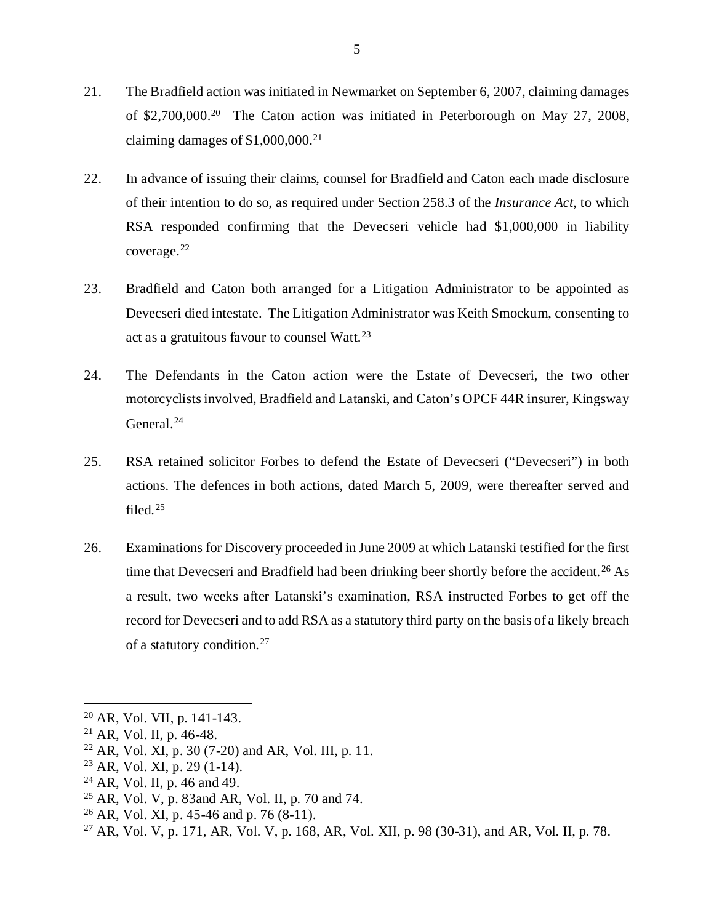- 21. The Bradfield action was initiated in Newmarket on September 6, 2007, claiming damages of \$2,700,000.<sup>[20](#page-9-0)</sup> The Caton action was initiated in Peterborough on May 27, 2008, claiming damages of \$1,000,000. [21](#page-9-1)
- 22. In advance of issuing their claims, counsel for Bradfield and Caton each made disclosure of their intention to do so, as required under Section 258.3 of the *Insurance Act*, to which RSA responded confirming that the Devecseri vehicle had \$1,000,000 in liability coverage.[22](#page-9-2)
- 23. Bradfield and Caton both arranged for a Litigation Administrator to be appointed as Devecseri died intestate. The Litigation Administrator was Keith Smockum, consenting to act as a gratuitous favour to counsel Watt.<sup>[23](#page-9-3)</sup>
- 24. The Defendants in the Caton action were the Estate of Devecseri, the two other motorcyclists involved, Bradfield and Latanski, and Caton's OPCF 44R insurer, Kingsway General.<sup>[24](#page-9-4)</sup>
- 25. RSA retained solicitor Forbes to defend the Estate of Devecseri ("Devecseri") in both actions. The defences in both actions, dated March 5, 2009, were thereafter served and filed. $25$
- 26. Examinations for Discovery proceeded in June 2009 at which Latanski testified for the first time that Devecseri and Bradfield had been drinking beer shortly before the accident.<sup>[26](#page-9-6)</sup> As a result, two weeks after Latanski's examination, RSA instructed Forbes to get off the record for Devecseri and to add RSA as a statutory third party on the basis of a likely breach of a statutory condition.[27](#page-9-7)

<span id="page-9-4"></span> $24$  AR, Vol. II, p. 46 and 49.

<span id="page-9-0"></span> <sup>20</sup> AR, Vol. VII, p. 141-143.

<span id="page-9-1"></span> $21$  AR, Vol. II, p. 46-48.

<span id="page-9-2"></span><sup>&</sup>lt;sup>22</sup> AR, Vol. XI, p. 30 (7-20) and AR, Vol. III, p. 11.

<span id="page-9-3"></span><sup>23</sup> AR, Vol. XI, p. 29 (1-14).

<span id="page-9-5"></span><sup>25</sup> AR, Vol. V, p. 83and AR, Vol. II, p. 70 and 74.

<span id="page-9-6"></span> $^{26}$  AR, Vol. XI, p. 45-46 and p. 76 (8-11).

<span id="page-9-7"></span><sup>27</sup> AR, Vol. V, p. 171, AR, Vol. V, p. 168, AR, Vol. XII, p. 98 (30-31), and AR, Vol. II, p. 78.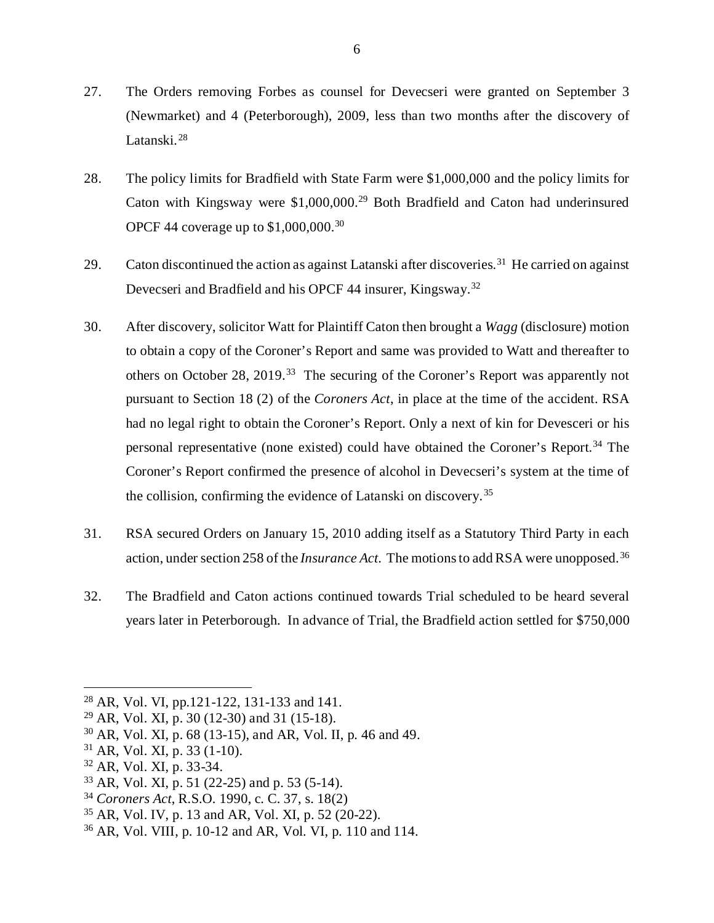- 27. The Orders removing Forbes as counsel for Devecseri were granted on September 3 (Newmarket) and 4 (Peterborough), 2009, less than two months after the discovery of Latanski.<sup>[28](#page-10-0)</sup>
- 28. The policy limits for Bradfield with State Farm were \$1,000,000 and the policy limits for Caton with Kingsway were \$1,000,000[.29](#page-10-1) Both Bradfield and Caton had underinsured OPCF 44 coverage up to \$1,000,000.[30](#page-10-2)
- 29. Caton discontinued the action as against Latanski after discoveries.<sup>[31](#page-10-3)</sup> He carried on against Devecseri and Bradfield and his OPCF 44 insurer, Kingsway.<sup>[32](#page-10-4)</sup>
- 30. After discovery, solicitor Watt for Plaintiff Caton then brought a *Wagg* (disclosure) motion to obtain a copy of the Coroner's Report and same was provided to Watt and thereafter to others on October 28, 2019.[33](#page-10-5) The securing of the Coroner's Report was apparently not pursuant to Section 18 (2) of the *Coroners Act*, in place at the time of the accident. RSA had no legal right to obtain the Coroner's Report. Only a next of kin for Devesceri or his personal representative (none existed) could have obtained the Coroner's Report.<sup>[34](#page-10-6)</sup> The Coroner's Report confirmed the presence of alcohol in Devecseri's system at the time of the collision, confirming the evidence of Latanski on discovery. [35](#page-10-7)
- 31. RSA secured Orders on January 15, 2010 adding itself as a Statutory Third Party in each action, under section 258 of the *Insurance Act*. The motions to add RSA were unopposed.[36](#page-10-8)
- 32. The Bradfield and Caton actions continued towards Trial scheduled to be heard several years later in Peterborough. In advance of Trial, the Bradfield action settled for \$750,000

<span id="page-10-0"></span> <sup>28</sup> AR, Vol. VI, pp.121-122, 131-133 and 141.

<span id="page-10-1"></span><sup>29</sup> AR, Vol. XI, p. 30 (12-30) and 31 (15-18).

<span id="page-10-2"></span><sup>30</sup> AR, Vol. XI, p. 68 (13-15), and AR, Vol. II, p. 46 and 49.

<span id="page-10-3"></span> $31$  AR, Vol. XI, p. 33 (1-10).

<span id="page-10-4"></span><sup>32</sup> AR, Vol. XI, p. 33-34.

<span id="page-10-5"></span><sup>33</sup> AR, Vol. XI, p. 51 (22-25) and p. 53 (5-14).

<span id="page-10-6"></span><sup>34</sup> *Coroners Act*, R.S.O. 1990, c. C. 37, s. 18(2)

<span id="page-10-7"></span><sup>35</sup> AR, Vol. IV, p. 13 and AR, Vol. XI, p. 52 (20-22).

<span id="page-10-8"></span><sup>36</sup> AR, Vol. VIII, p. 10-12 and AR, Vol. VI, p. 110 and 114.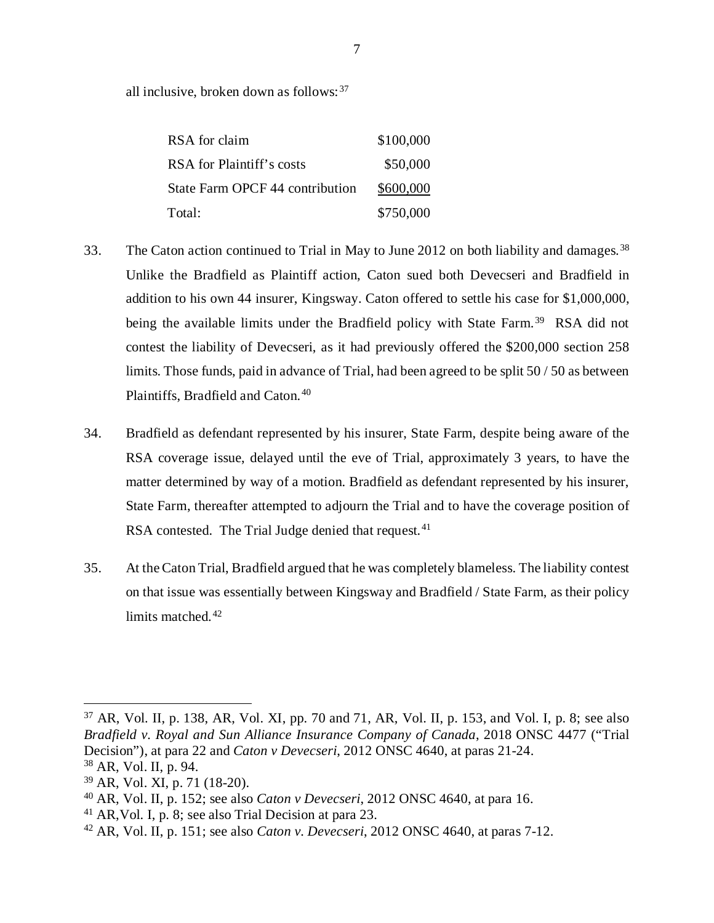all inclusive, broken down as follows:  $37$ 

| RSA for claim                   | \$100,000 |
|---------------------------------|-----------|
| RSA for Plaintiff's costs       | \$50,000  |
| State Farm OPCF 44 contribution | \$600,000 |
| Total:                          | \$750,000 |

- 33. The Caton action continued to Trial in May to June 2012 on both liability and damages.<sup>[38](#page-11-1)</sup> Unlike the Bradfield as Plaintiff action, Caton sued both Devecseri and Bradfield in addition to his own 44 insurer, Kingsway. Caton offered to settle his case for \$1,000,000, being the available limits under the Bradfield policy with State Farm.<sup>39</sup> RSA did not contest the liability of Devecseri, as it had previously offered the \$200,000 section 258 limits. Those funds, paid in advance of Trial, had been agreed to be split 50 / 50 as between Plaintiffs, Bradfield and Caton. [40](#page-11-3)
- 34. Bradfield as defendant represented by his insurer, State Farm, despite being aware of the RSA coverage issue, delayed until the eve of Trial, approximately 3 years, to have the matter determined by way of a motion. Bradfield as defendant represented by his insurer, State Farm, thereafter attempted to adjourn the Trial and to have the coverage position of RSA contested. The Trial Judge denied that request.<sup>[41](#page-11-4)</sup>
- 35. At the Caton Trial, Bradfield argued that he was completely blameless. The liability contest on that issue was essentially between Kingsway and Bradfield / State Farm, as their policy limits matched.<sup>[42](#page-11-5)</sup>

<span id="page-11-0"></span> $37$  AR, Vol. II, p. 138, AR, Vol. XI, pp. 70 and 71, AR, Vol. II, p. 153, and Vol. I, p. 8; see also *Bradfield v. Royal and Sun Alliance Insurance Company of Canada*, 2018 ONSC 4477 ("Trial Decision"), at para 22 and *Caton v Devecseri*, 2012 ONSC 4640, at paras 21-24. <sup>38</sup> AR, Vol. II, p. 94.

<span id="page-11-2"></span><span id="page-11-1"></span><sup>39</sup> AR, Vol. XI, p. 71 (18-20).

<span id="page-11-3"></span><sup>40</sup> AR, Vol. II, p. 152; see also *Caton v Devecseri*, 2012 ONSC 4640, at para 16.

<span id="page-11-4"></span><sup>41</sup> AR,Vol. I, p. 8; see also Trial Decision at para 23.

<span id="page-11-5"></span><sup>42</sup> AR, Vol. II, p. 151; see also *Caton v. Devecseri*, 2012 ONSC 4640, at paras 7-12.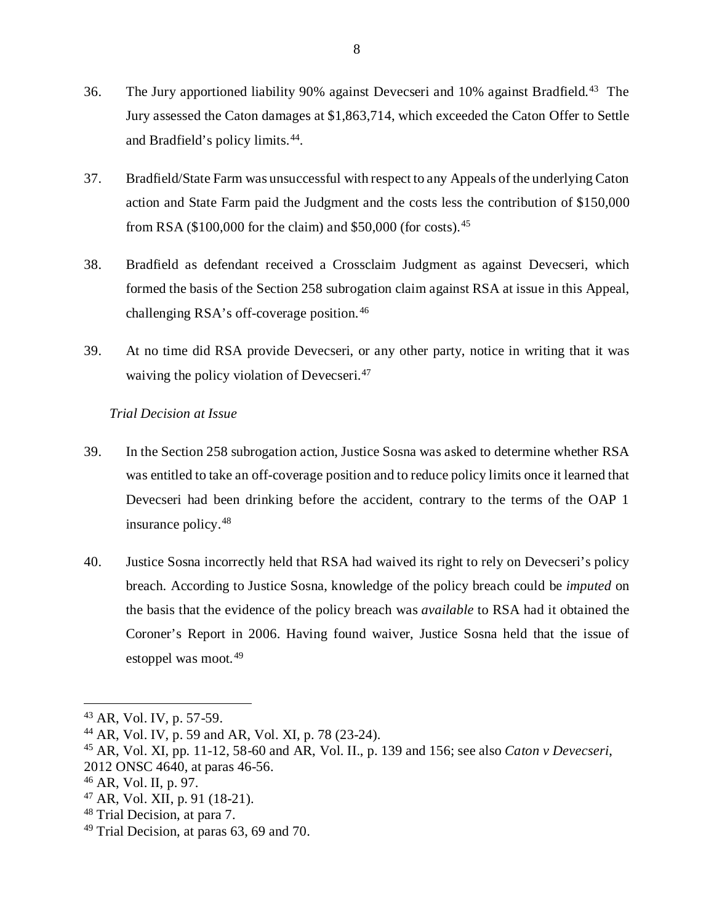- 36. The Jury apportioned liability 90% against Devecseri and 10% against Bradfield.<sup>[43](#page-12-0)</sup> The Jury assessed the Caton damages at \$1,863,714, which exceeded the Caton Offer to Settle and Bradfield's policy limits. [44](#page-12-1).
- 37. Bradfield/State Farm was unsuccessful with respect to any Appeals of the underlying Caton action and State Farm paid the Judgment and the costs less the contribution of \$150,000 from RSA (\$100,000 for the claim) and \$50,000 (for costs).[45](#page-12-2)
- 38. Bradfield as defendant received a Crossclaim Judgment as against Devecseri, which formed the basis of the Section 258 subrogation claim against RSA at issue in this Appeal, challenging RSA's off-coverage position. [46](#page-12-3)
- 39. At no time did RSA provide Devecseri, or any other party, notice in writing that it was waiving the policy violation of Devecseri.<sup>[47](#page-12-4)</sup>

## *Trial Decision at Issue*

- 39. In the Section 258 subrogation action, Justice Sosna was asked to determine whether RSA was entitled to take an off-coverage position and to reduce policy limits once it learned that Devecseri had been drinking before the accident, contrary to the terms of the OAP 1 insurance policy.[48](#page-12-5)
- 40. Justice Sosna incorrectly held that RSA had waived its right to rely on Devecseri's policy breach. According to Justice Sosna, knowledge of the policy breach could be *imputed* on the basis that the evidence of the policy breach was *available* to RSA had it obtained the Coroner's Report in 2006. Having found waiver, Justice Sosna held that the issue of estoppel was moot. [49](#page-12-6)

- <span id="page-12-4"></span><sup>47</sup> AR, Vol. XII, p. 91 (18-21).
- <span id="page-12-5"></span><sup>48</sup> Trial Decision, at para 7.

<span id="page-12-0"></span> <sup>43</sup> AR, Vol. IV, p. 57-59.

<span id="page-12-1"></span><sup>44</sup> AR, Vol. IV, p. 59 and AR, Vol. XI, p. 78 (23-24).

<span id="page-12-2"></span><sup>45</sup> AR, Vol. XI, pp. 11-12, 58-60 and AR, Vol. II., p. 139 and 156; see also *Caton v Devecseri*,

<sup>2012</sup> ONSC 4640, at paras 46-56.

<span id="page-12-3"></span><sup>46</sup> AR, Vol. II, p. 97.

<span id="page-12-6"></span> $49$  Trial Decision, at paras 63, 69 and 70.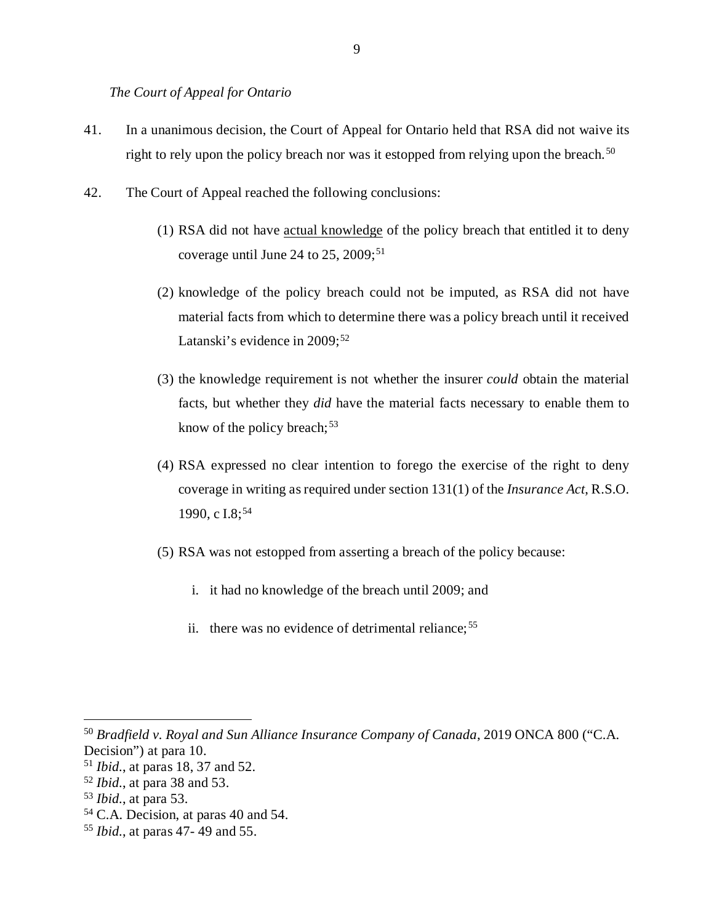*The Court of Appeal for Ontario* 

- 41. In a unanimous decision, the Court of Appeal for Ontario held that RSA did not waive its right to rely upon the policy breach nor was it estopped from relying upon the breach.<sup>[50](#page-13-0)</sup>
- 42. The Court of Appeal reached the following conclusions:
	- (1) RSA did not have actual knowledge of the policy breach that entitled it to deny coverage until June 24 to 25, 2009;<sup>[51](#page-13-1)</sup>
	- (2) knowledge of the policy breach could not be imputed, as RSA did not have material facts from which to determine there was a policy breach until it received Latanski's evidence in 2009;<sup>52</sup>
	- (3) the knowledge requirement is not whether the insurer *could* obtain the material facts, but whether they *did* have the material facts necessary to enable them to know of the policy breach;  $53$
	- (4) RSA expressed no clear intention to forego the exercise of the right to deny coverage in writing as required under section 131(1) of the *Insurance Act*, R.S.O. 1990, c I.8:<sup>[54](#page-13-4)</sup>
	- (5) RSA was not estopped from asserting a breach of the policy because:
		- i. it had no knowledge of the breach until 2009; and
		- ii. there was no evidence of detrimental reliance;  $55$

<span id="page-13-0"></span> <sup>50</sup> *Bradfield v. Royal and Sun Alliance Insurance Company of Canada*, 2019 ONCA 800 ("C.A. Decision") at para 10.

<span id="page-13-1"></span><sup>51</sup> *Ibid.*, at paras 18, 37 and 52.

<span id="page-13-2"></span><sup>52</sup> *Ibid.*, at para 38 and 53.

<span id="page-13-3"></span><sup>53</sup> *Ibid.*, at para 53.

<span id="page-13-4"></span><sup>54</sup> C.A. Decision, at paras 40 and 54.

<span id="page-13-5"></span><sup>55</sup> *Ibid.*, at paras 47- 49 and 55.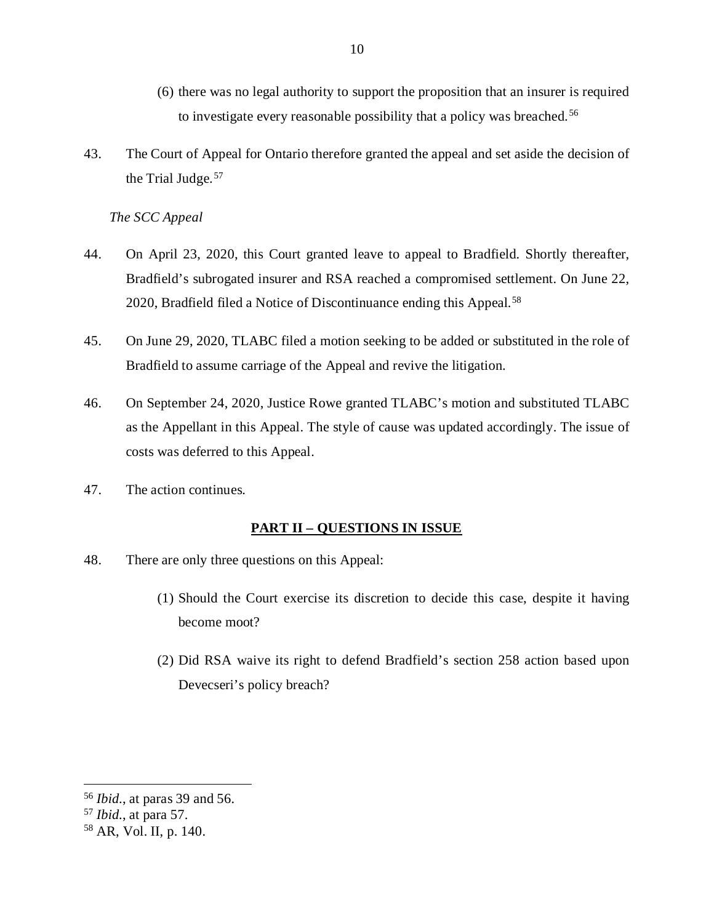- (6) there was no legal authority to support the proposition that an insurer is required to investigate every reasonable possibility that a policy was breached. [56](#page-14-0)
- 43. The Court of Appeal for Ontario therefore granted the appeal and set aside the decision of the Trial Judge.<sup>[57](#page-14-1)</sup>

10

*The SCC Appeal* 

- 44. On April 23, 2020, this Court granted leave to appeal to Bradfield. Shortly thereafter, Bradfield's subrogated insurer and RSA reached a compromised settlement. On June 22, 2020, Bradfield filed a Notice of Discontinuance ending this Appeal.<sup>[58](#page-14-2)</sup>
- 45. On June 29, 2020, TLABC filed a motion seeking to be added or substituted in the role of Bradfield to assume carriage of the Appeal and revive the litigation.
- 46. On September 24, 2020, Justice Rowe granted TLABC's motion and substituted TLABC as the Appellant in this Appeal. The style of cause was updated accordingly. The issue of costs was deferred to this Appeal.
- 47. The action continues.

## **PART II – QUESTIONS IN ISSUE**

- 48. There are only three questions on this Appeal:
	- (1) Should the Court exercise its discretion to decide this case, despite it having become moot?
	- (2) Did RSA waive its right to defend Bradfield's section 258 action based upon Devecseri's policy breach?

<span id="page-14-0"></span> <sup>56</sup> *Ibid.*, at paras 39 and 56.

<span id="page-14-1"></span><sup>57</sup> *Ibid.*, at para 57.

<span id="page-14-2"></span><sup>58</sup> AR, Vol. II, p. 140.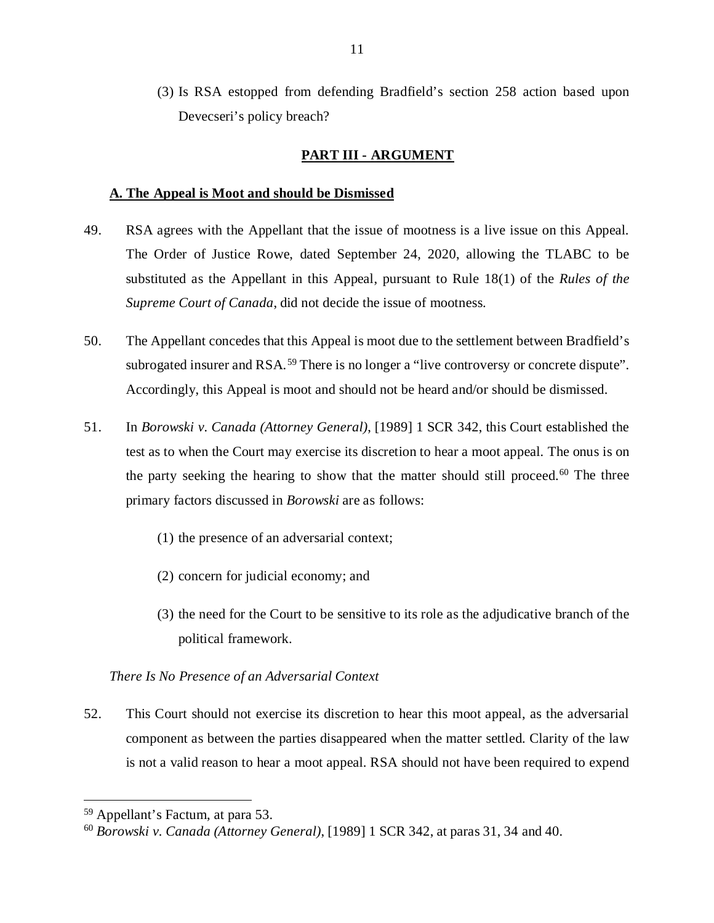(3) Is RSA estopped from defending Bradfield's section 258 action based upon Devecseri's policy breach?

## **PART III - ARGUMENT**

#### **A. The Appeal is Moot and should be Dismissed**

- 49. RSA agrees with the Appellant that the issue of mootness is a live issue on this Appeal. The Order of Justice Rowe, dated September 24, 2020, allowing the TLABC to be substituted as the Appellant in this Appeal, pursuant to Rule 18(1) of the *Rules of the Supreme Court of Canada*, did not decide the issue of mootness.
- 50. The Appellant concedes that this Appeal is moot due to the settlement between Bradfield's subrogated insurer and RSA.<sup>[59](#page-15-0)</sup> There is no longer a "live controversy or concrete dispute". Accordingly, this Appeal is moot and should not be heard and/or should be dismissed.
- 51. In *Borowski v. Canada (Attorney General)*, [1989] 1 SCR 342, this Court established the test as to when the Court may exercise its discretion to hear a moot appeal. The onus is on the party seeking the hearing to show that the matter should still proceed.<sup>[60](#page-15-1)</sup> The three primary factors discussed in *Borowski* are as follows:
	- (1) the presence of an adversarial context;
	- (2) concern for judicial economy; and
	- (3) the need for the Court to be sensitive to its role as the adjudicative branch of the political framework.

## *There Is No Presence of an Adversarial Context*

52. This Court should not exercise its discretion to hear this moot appeal, as the adversarial component as between the parties disappeared when the matter settled. Clarity of the law is not a valid reason to hear a moot appeal. RSA should not have been required to expend

<span id="page-15-0"></span> <sup>59</sup> Appellant's Factum, at para 53.

<span id="page-15-1"></span><sup>60</sup> *Borowski v. Canada (Attorney General)*, [1989] 1 SCR 342, at paras 31, 34 and 40.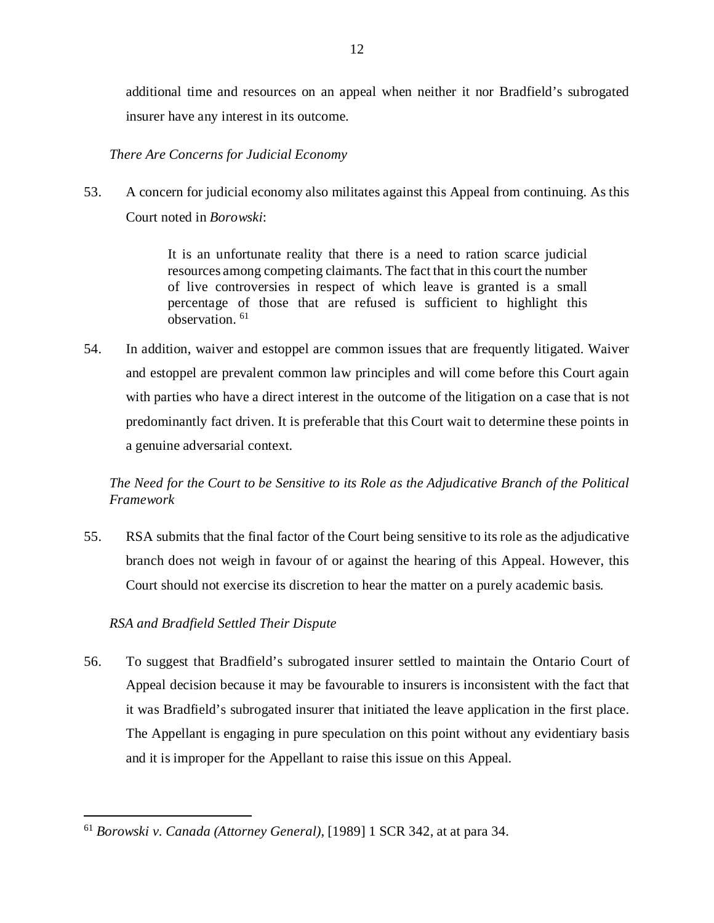additional time and resources on an appeal when neither it nor Bradfield's subrogated insurer have any interest in its outcome.

## *There Are Concerns for Judicial Economy*

53. A concern for judicial economy also militates against this Appeal from continuing. As this Court noted in *Borowski*:

> It is an unfortunate reality that there is a need to ration scarce judicial resources among competing claimants. The fact that in this court the number of live controversies in respect of which leave is granted is a small percentage of those that are refused is sufficient to highlight this observation. [61](#page-16-0)

54. In addition, waiver and estoppel are common issues that are frequently litigated. Waiver and estoppel are prevalent common law principles and will come before this Court again with parties who have a direct interest in the outcome of the litigation on a case that is not predominantly fact driven. It is preferable that this Court wait to determine these points in a genuine adversarial context.

*The Need for the Court to be Sensitive to its Role as the Adjudicative Branch of the Political Framework*

55. RSA submits that the final factor of the Court being sensitive to its role as the adjudicative branch does not weigh in favour of or against the hearing of this Appeal. However, this Court should not exercise its discretion to hear the matter on a purely academic basis.

## *RSA and Bradfield Settled Their Dispute*

56. To suggest that Bradfield's subrogated insurer settled to maintain the Ontario Court of Appeal decision because it may be favourable to insurers is inconsistent with the fact that it was Bradfield's subrogated insurer that initiated the leave application in the first place. The Appellant is engaging in pure speculation on this point without any evidentiary basis and it is improper for the Appellant to raise this issue on this Appeal.

<span id="page-16-0"></span> <sup>61</sup> *Borowski v. Canada (Attorney General)*, [1989] 1 SCR 342, at at para 34.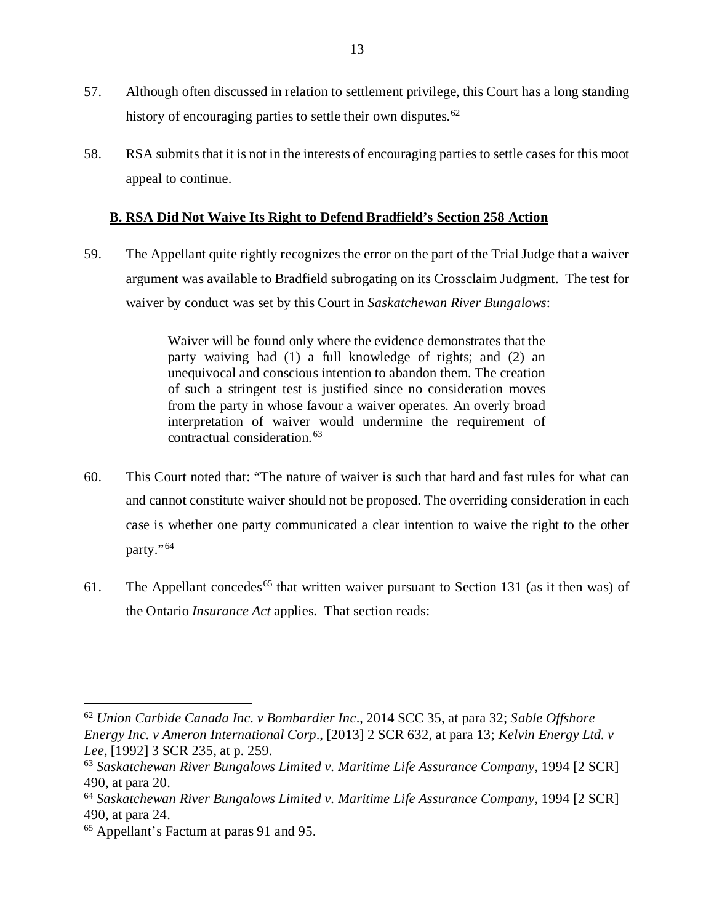- 57. Although often discussed in relation to settlement privilege, this Court has a long standing history of encouraging parties to settle their own disputes.<sup>[62](#page-17-0)</sup>
- 58. RSA submits that it is not in the interests of encouraging parties to settle cases for this moot appeal to continue.

## **B. RSA Did Not Waive Its Right to Defend Bradfield's Section 258 Action**

59. The Appellant quite rightly recognizes the error on the part of the Trial Judge that a waiver argument was available to Bradfield subrogating on its Crossclaim Judgment. The test for waiver by conduct was set by this Court in *Saskatchewan River Bungalows*:

> Waiver will be found only where the evidence demonstrates that the party waiving had (1) a full knowledge of rights; and (2) an unequivocal and conscious intention to abandon them. The creation of such a stringent test is justified since no consideration moves from the party in whose favour a waiver operates. An overly broad interpretation of waiver would undermine the requirement of contractual consideration.[63](#page-17-1)

- 60. This Court noted that: "The nature of waiver is such that hard and fast rules for what can and cannot constitute waiver should not be proposed. The overriding consideration in each case is whether one party communicated a clear intention to waive the right to the other party."<sup>[64](#page-17-2)</sup>
- 61. The Appellant concedes<sup>[65](#page-17-3)</sup> that written waiver pursuant to Section 131 (as it then was) of the Ontario *Insurance Act* applies. That section reads:

<span id="page-17-0"></span> <sup>62</sup> *Union Carbide Canada Inc. v Bombardier Inc*., 2014 SCC 35, at para 32; *Sable Offshore Energy Inc. v Ameron International Corp*., [2013] 2 SCR 632, at para 13; *Kelvin Energy Ltd. v Lee*, [1992] 3 SCR 235, at p. 259.

<span id="page-17-1"></span><sup>63</sup> *Saskatchewan River Bungalows Limited v. Maritime Life Assurance Company*, 1994 [2 SCR] 490, at para 20.

<span id="page-17-2"></span><sup>64</sup> *Saskatchewan River Bungalows Limited v. Maritime Life Assurance Company*, 1994 [2 SCR] 490, at para 24.

<span id="page-17-3"></span><sup>65</sup> Appellant's Factum at paras 91 and 95.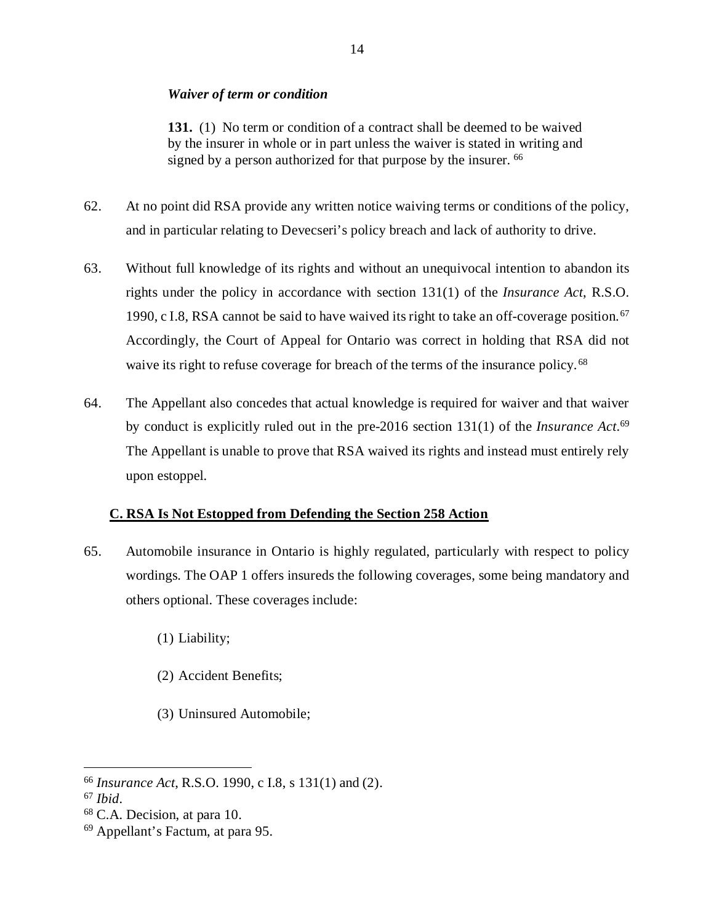#### *Waiver of term or condition*

**131.** (1) No term or condition of a contract shall be deemed to be waived by the insurer in whole or in part unless the waiver is stated in writing and signed by a person authorized for that purpose by the insurer. <sup>[66](#page-18-0)</sup>

- 62. At no point did RSA provide any written notice waiving terms or conditions of the policy, and in particular relating to Devecseri's policy breach and lack of authority to drive.
- 63. Without full knowledge of its rights and without an unequivocal intention to abandon its rights under the policy in accordance with section 131(1) of the *Insurance Act*, R.S.O. 1990, c I.8, RSA cannot be said to have waived its right to take an off-coverage position.<sup>[67](#page-18-1)</sup> Accordingly, the Court of Appeal for Ontario was correct in holding that RSA did not waive its right to refuse coverage for breach of the terms of the insurance policy.<sup>[68](#page-18-2)</sup>
- 64. The Appellant also concedes that actual knowledge is required for waiver and that waiver by conduct is explicitly ruled out in the pre-2016 section 131(1) of the *Insurance Act*. [69](#page-18-3) The Appellant is unable to prove that RSA waived its rights and instead must entirely rely upon estoppel.

## **C. RSA Is Not Estopped from Defending the Section 258 Action**

- 65. Automobile insurance in Ontario is highly regulated, particularly with respect to policy wordings. The OAP 1 offers insureds the following coverages, some being mandatory and others optional. These coverages include:
	- (1) Liability;
	- (2) Accident Benefits;
	- (3) Uninsured Automobile;

<span id="page-18-0"></span> <sup>66</sup> *Insurance Act*, R.S.O. 1990, c I.8, s 131(1) and (2).

<span id="page-18-1"></span><sup>67</sup> *Ibid*.

<span id="page-18-2"></span><sup>68</sup> C.A. Decision, at para 10.

<span id="page-18-3"></span><sup>69</sup> Appellant's Factum, at para 95.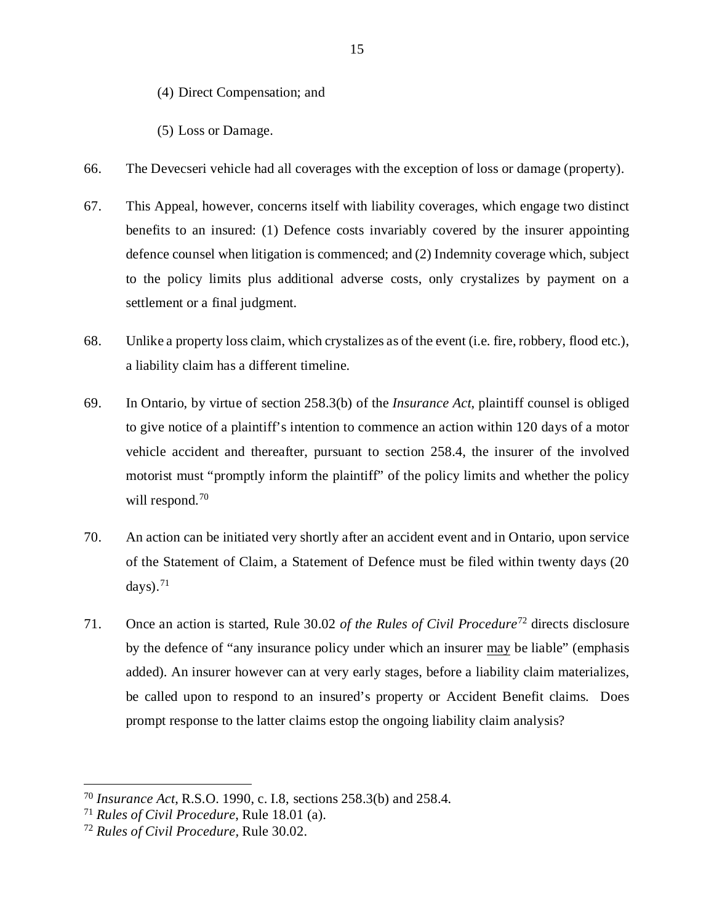(4) Direct Compensation; and

(5) Loss or Damage.

- 66. The Devecseri vehicle had all coverages with the exception of loss or damage (property).
- 67. This Appeal, however, concerns itself with liability coverages, which engage two distinct benefits to an insured: (1) Defence costs invariably covered by the insurer appointing defence counsel when litigation is commenced; and (2) Indemnity coverage which, subject to the policy limits plus additional adverse costs, only crystalizes by payment on a settlement or a final judgment.
- 68. Unlike a property loss claim, which crystalizes as of the event (i.e. fire, robbery, flood etc.), a liability claim has a different timeline.
- 69. In Ontario, by virtue of section 258.3(b) of the *Insurance Act*, plaintiff counsel is obliged to give notice of a plaintiff's intention to commence an action within 120 days of a motor vehicle accident and thereafter, pursuant to section 258.4, the insurer of the involved motorist must "promptly inform the plaintiff" of the policy limits and whether the policy will respond.<sup>[70](#page-19-0)</sup>
- 70. An action can be initiated very shortly after an accident event and in Ontario, upon service of the Statement of Claim, a Statement of Defence must be filed within twenty days (20 days). $71$
- 71. Once an action is started, Rule 30.02 *of the Rules of Civil Procedure*[72](#page-19-2) directs disclosure by the defence of "any insurance policy under which an insurer may be liable" (emphasis added). An insurer however can at very early stages, before a liability claim materializes, be called upon to respond to an insured's property or Accident Benefit claims. Does prompt response to the latter claims estop the ongoing liability claim analysis?

<span id="page-19-0"></span> <sup>70</sup> *Insurance Act*, R.S.O. 1990, c. I.8, sections 258.3(b) and 258.4*.*

<span id="page-19-1"></span><sup>71</sup> *Rules of Civil Procedure*, Rule 18.01 (a).

<span id="page-19-2"></span><sup>72</sup> *Rules of Civil Procedure,* Rule 30.02.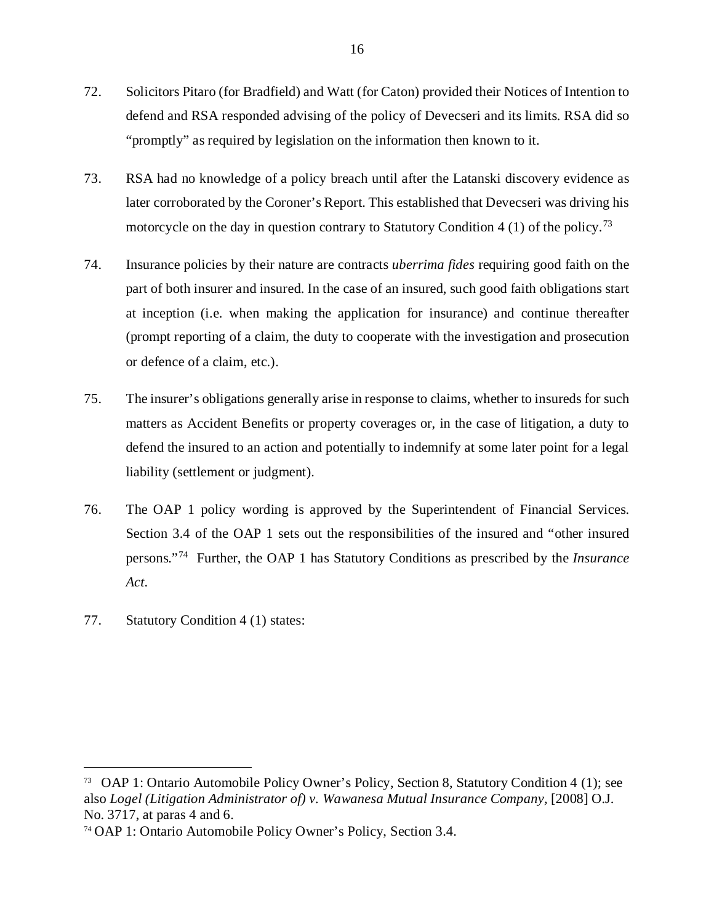- 72. Solicitors Pitaro (for Bradfield) and Watt (for Caton) provided their Notices of Intention to defend and RSA responded advising of the policy of Devecseri and its limits. RSA did so "promptly" as required by legislation on the information then known to it.
- 73. RSA had no knowledge of a policy breach until after the Latanski discovery evidence as later corroborated by the Coroner's Report. This established that Devecseri was driving his motorcycle on the day in question contrary to Statutory Condition 4 (1) of the policy.<sup>[73](#page-20-0)</sup>
- 74. Insurance policies by their nature are contracts *uberrima fides* requiring good faith on the part of both insurer and insured. In the case of an insured, such good faith obligations start at inception (i.e. when making the application for insurance) and continue thereafter (prompt reporting of a claim, the duty to cooperate with the investigation and prosecution or defence of a claim, etc.).
- 75. The insurer's obligations generally arise in response to claims, whether to insureds for such matters as Accident Benefits or property coverages or, in the case of litigation, a duty to defend the insured to an action and potentially to indemnify at some later point for a legal liability (settlement or judgment).
- 76. The OAP 1 policy wording is approved by the Superintendent of Financial Services. Section 3.4 of the OAP 1 sets out the responsibilities of the insured and "other insured persons."[74](#page-20-1) Further, the OAP 1 has Statutory Conditions as prescribed by the *Insurance Act*.
- 77. Statutory Condition 4 (1) states:

<span id="page-20-0"></span> <sup>73</sup> OAP 1: Ontario Automobile Policy Owner's Policy, Section 8, Statutory Condition 4 (1); see also *Logel (Litigation Administrator of) v. Wawanesa Mutual Insurance Company,* [2008] O.J. No. 3717, at paras 4 and 6.

<span id="page-20-1"></span><sup>74</sup> OAP 1: Ontario Automobile Policy Owner's Policy, Section 3.4.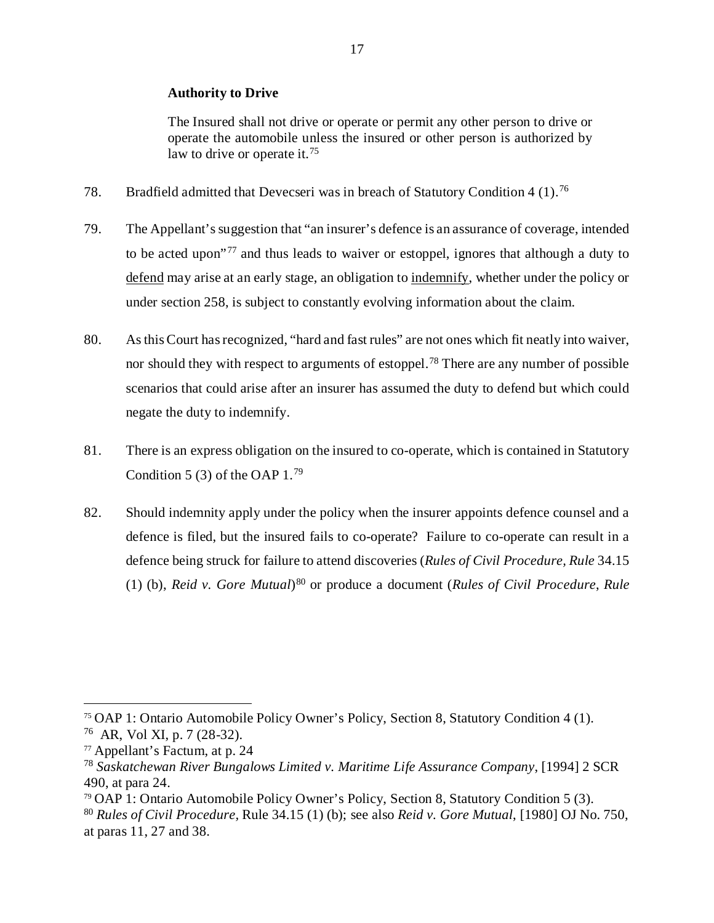#### **Authority to Drive**

The Insured shall not drive or operate or permit any other person to drive or operate the automobile unless the insured or other person is authorized by law to drive or operate it.<sup>[75](#page-21-0)</sup>

- 78. Bradfield admitted that Devecseri was in breach of Statutory Condition 4 (1).<sup>[76](#page-21-1)</sup>
- 79. The Appellant's suggestion that "an insurer's defence is an assurance of coverage, intended to be acted upon"[77](#page-21-2) and thus leads to waiver or estoppel, ignores that although a duty to defend may arise at an early stage, an obligation to indemnify, whether under the policy or under section 258, is subject to constantly evolving information about the claim.
- 80. As this Court has recognized, "hard and fast rules" are not ones which fit neatly into waiver, nor should they with respect to arguments of estoppel.<sup>[78](#page-21-3)</sup> There are any number of possible scenarios that could arise after an insurer has assumed the duty to defend but which could negate the duty to indemnify.
- 81. There is an express obligation on the insured to co-operate, which is contained in Statutory Condition 5 (3) of the OAP  $1.^{79}$  $1.^{79}$  $1.^{79}$
- 82. Should indemnity apply under the policy when the insurer appoints defence counsel and a defence is filed, but the insured fails to co-operate? Failure to co-operate can result in a defence being struck for failure to attend discoveries (*Rules of Civil Procedure, Rule* 34.15 (1) (b), *Reid v. Gore Mutual*)[80](#page-21-5) or produce a document (*Rules of Civil Procedure*, *Rule*

<span id="page-21-1"></span><span id="page-21-0"></span> <sup>75</sup> OAP 1: Ontario Automobile Policy Owner's Policy, Section 8, Statutory Condition 4 (1). 76 AR, Vol XI, p. 7 (28-32).

<span id="page-21-2"></span> $77$  Appellant's Factum, at p. 24

<span id="page-21-3"></span><sup>78</sup> *Saskatchewan River Bungalows Limited v. Maritime Life Assurance Company*, [1994] 2 SCR 490, at para 24.

<span id="page-21-4"></span><sup>79</sup> OAP 1: Ontario Automobile Policy Owner's Policy, Section 8, Statutory Condition 5 (3).

<span id="page-21-5"></span><sup>80</sup> *Rules of Civil Procedure,* Rule 34.15 (1) (b); see also *Reid v. Gore Mutual*, [1980] OJ No. 750, at paras 11, 27 and 38.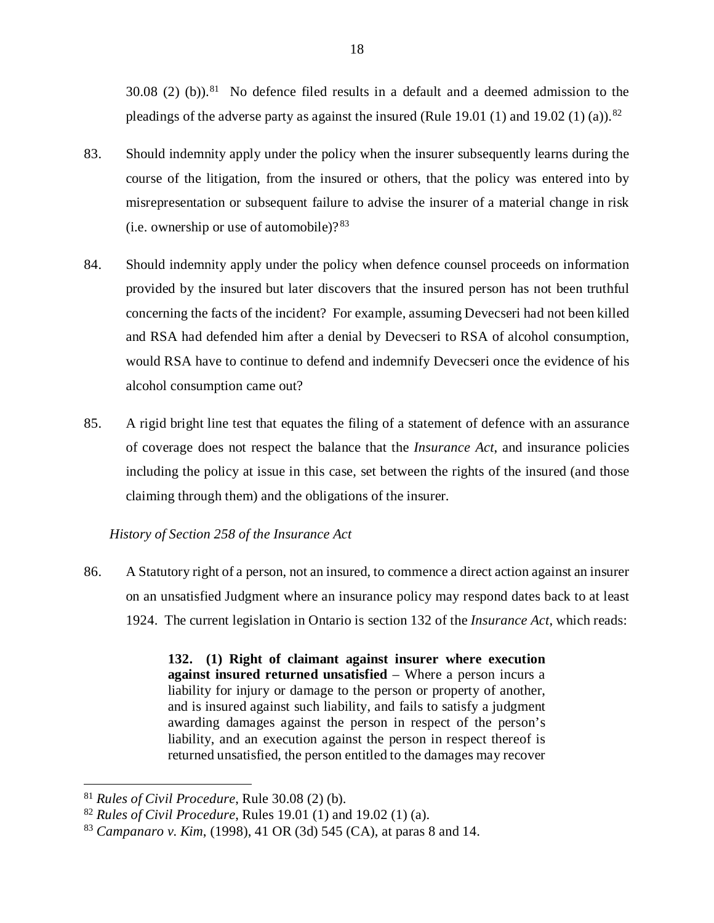$30.08$  (2) (b)).<sup>81</sup> No defence filed results in a default and a deemed admission to the pleadings of the adverse party as against the insured (Rule 19.01 (1) and 19.02 (1) (a)).<sup>[82](#page-22-1)</sup>

- 83. Should indemnity apply under the policy when the insurer subsequently learns during the course of the litigation, from the insured or others, that the policy was entered into by misrepresentation or subsequent failure to advise the insurer of a material change in risk (i.e. ownership or use of automobile)? $83$
- 84. Should indemnity apply under the policy when defence counsel proceeds on information provided by the insured but later discovers that the insured person has not been truthful concerning the facts of the incident? For example, assuming Devecseri had not been killed and RSA had defended him after a denial by Devecseri to RSA of alcohol consumption, would RSA have to continue to defend and indemnify Devecseri once the evidence of his alcohol consumption came out?
- 85. A rigid bright line test that equates the filing of a statement of defence with an assurance of coverage does not respect the balance that the *Insurance Act*, and insurance policies including the policy at issue in this case, set between the rights of the insured (and those claiming through them) and the obligations of the insurer.

## *History of Section 258 of the Insurance Act*

86. A Statutory right of a person, not an insured, to commence a direct action against an insurer on an unsatisfied Judgment where an insurance policy may respond dates back to at least 1924. The current legislation in Ontario is section 132 of the *Insurance Act*, which reads:

> **132. (1) Right of claimant against insurer where execution against insured returned unsatisfied** – Where a person incurs a liability for injury or damage to the person or property of another, and is insured against such liability, and fails to satisfy a judgment awarding damages against the person in respect of the person's liability, and an execution against the person in respect thereof is returned unsatisfied, the person entitled to the damages may recover

<span id="page-22-0"></span> <sup>81</sup> *Rules of Civil Procedure*, Rule 30.08 (2) (b).

<span id="page-22-1"></span><sup>82</sup> *Rules of Civil Procedure*, Rules 19.01 (1) and 19.02 (1) (a).

<span id="page-22-2"></span><sup>83</sup> *Campanaro v. Kim*, (1998), 41 OR (3d) 545 (CA), at paras 8 and 14.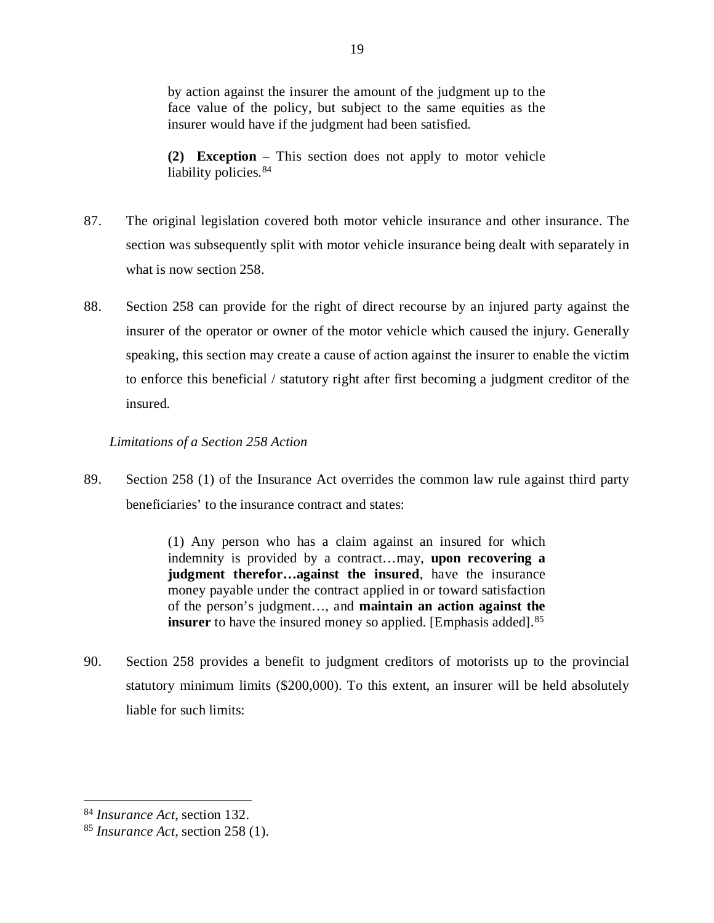by action against the insurer the amount of the judgment up to the face value of the policy, but subject to the same equities as the insurer would have if the judgment had been satisfied.

**(2) Exception** – This section does not apply to motor vehicle liability policies.<sup>[84](#page-23-0)</sup>

- 87. The original legislation covered both motor vehicle insurance and other insurance. The section was subsequently split with motor vehicle insurance being dealt with separately in what is now section 258.
- 88. Section 258 can provide for the right of direct recourse by an injured party against the insurer of the operator or owner of the motor vehicle which caused the injury. Generally speaking, this section may create a cause of action against the insurer to enable the victim to enforce this beneficial / statutory right after first becoming a judgment creditor of the insured.

## *Limitations of a Section 258 Action*

89. Section 258 (1) of the Insurance Act overrides the common law rule against third party beneficiaries' to the insurance contract and states:

> (1) Any person who has a claim against an insured for which indemnity is provided by a contract…may, **upon recovering a judgment therefor…against the insured**, have the insurance money payable under the contract applied in or toward satisfaction of the person's judgment…, and **maintain an action against the insurer** to have the insured money so applied. [Emphasis added].<sup>[85](#page-23-1)</sup>

90. Section 258 provides a benefit to judgment creditors of motorists up to the provincial statutory minimum limits (\$200,000). To this extent, an insurer will be held absolutely liable for such limits:

<span id="page-23-0"></span> <sup>84</sup> *Insurance Act*, section 132.

<span id="page-23-1"></span><sup>85</sup> *Insurance Act*, section 258 (1).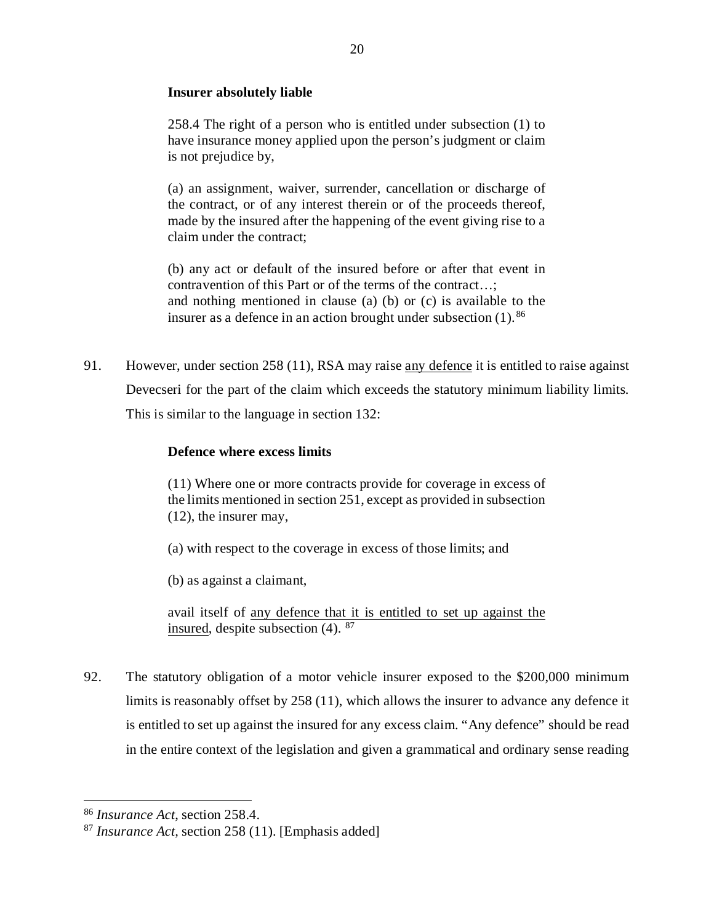## **Insurer absolutely liable**

258.4 The right of a person who is entitled under subsection (1) to have insurance money applied upon the person's judgment or claim is not prejudice by,

(a) an assignment, waiver, surrender, cancellation or discharge of the contract, or of any interest therein or of the proceeds thereof, made by the insured after the happening of the event giving rise to a claim under the contract;

(b) any act or default of the insured before or after that event in contravention of this Part or of the terms of the contract…; and nothing mentioned in clause (a) (b) or (c) is available to the insurer as a defence in an action brought under subsection (1). [86](#page-24-0)

91. However, under section 258 (11), RSA may raise any defence it is entitled to raise against Devecseri for the part of the claim which exceeds the statutory minimum liability limits. This is similar to the language in section 132:

## **Defence where excess limits**

(11) Where one or more contracts provide for coverage in excess of the limits mentioned in section 251, except as provided in subsection (12), the insurer may,

(a) with respect to the coverage in excess of those limits; and

(b) as against a claimant,

avail itself of any defence that it is entitled to set up against the insured, despite subsection  $(4)$ . <sup>[87](#page-24-1)</sup>

92. The statutory obligation of a motor vehicle insurer exposed to the \$200,000 minimum limits is reasonably offset by 258 (11), which allows the insurer to advance any defence it is entitled to set up against the insured for any excess claim. "Any defence" should be read in the entire context of the legislation and given a grammatical and ordinary sense reading

<span id="page-24-0"></span> <sup>86</sup> *Insurance Act*, section 258.4.

<span id="page-24-1"></span><sup>87</sup> *Insurance Act,* section 258 (11). [Emphasis added]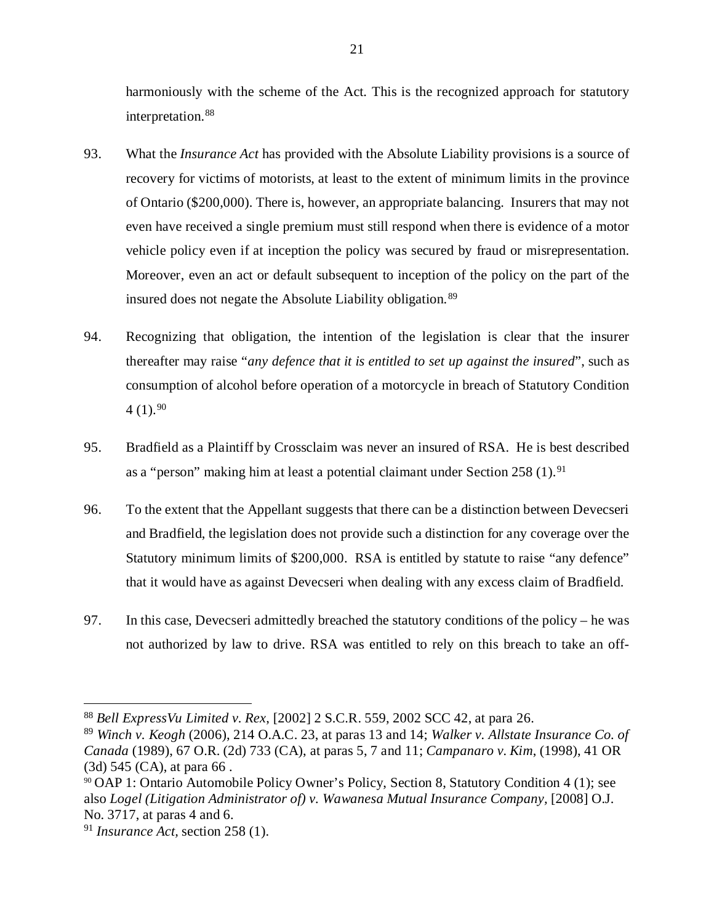harmoniously with the scheme of the Act. This is the recognized approach for statutory interpretation.<sup>[88](#page-25-0)</sup>

- 93. What the *Insurance Act* has provided with the Absolute Liability provisions is a source of recovery for victims of motorists, at least to the extent of minimum limits in the province of Ontario (\$200,000). There is, however, an appropriate balancing. Insurers that may not even have received a single premium must still respond when there is evidence of a motor vehicle policy even if at inception the policy was secured by fraud or misrepresentation. Moreover, even an act or default subsequent to inception of the policy on the part of the insured does not negate the Absolute Liability obligation.[89](#page-25-1)
- 94. Recognizing that obligation, the intention of the legislation is clear that the insurer thereafter may raise "*any defence that it is entitled to set up against the insured*", such as consumption of alcohol before operation of a motorcycle in breach of Statutory Condition  $4(1).^{90}$  $4(1).^{90}$  $4(1).^{90}$
- 95. Bradfield as a Plaintiff by Crossclaim was never an insured of RSA. He is best described as a "person" making him at least a potential claimant under Section  $258(1).<sup>91</sup>$
- 96. To the extent that the Appellant suggests that there can be a distinction between Devecseri and Bradfield, the legislation does not provide such a distinction for any coverage over the Statutory minimum limits of \$200,000. RSA is entitled by statute to raise "any defence" that it would have as against Devecseri when dealing with any excess claim of Bradfield.
- 97. In this case, Devecseri admittedly breached the statutory conditions of the policy he was not authorized by law to drive. RSA was entitled to rely on this breach to take an off-

<span id="page-25-0"></span> <sup>88</sup> *Bell ExpressVu Limited v. Rex*, [2002] 2 S.C.R. 559, 2002 SCC 42, at para 26.

<span id="page-25-1"></span><sup>89</sup> *Winch v. Keogh* (2006), 214 O.A.C. 23, at paras 13 and 14; *Walker v. Allstate Insurance Co. of Canada* (1989), 67 O.R. (2d) 733 (CA), at paras 5, 7 and 11; *Campanaro v. Kim*, (1998), 41 OR (3d) 545 (CA), at para 66 .

<span id="page-25-2"></span><sup>90</sup> OAP 1: Ontario Automobile Policy Owner's Policy, Section 8, Statutory Condition 4 (1); see also *Logel (Litigation Administrator of)* v. Wawanesa Mutual Insurance Company, [2008] O.J. No. 3717, at paras 4 and 6.

<span id="page-25-3"></span><sup>91</sup> *Insurance Act,* section 258 (1).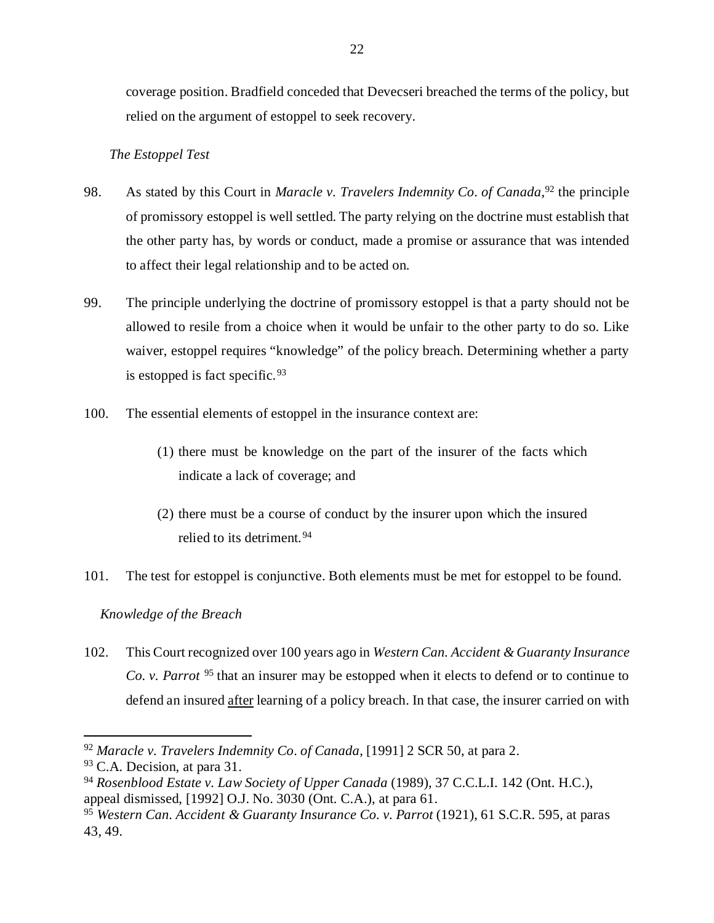coverage position. Bradfield conceded that Devecseri breached the terms of the policy, but relied on the argument of estoppel to seek recovery.

## *The Estoppel Test*

- 98. As stated by this Court in *Maracle v. Travelers Indemnity Co*. *of Canada*, [92](#page-26-0) the principle of promissory estoppel is well settled. The party relying on the doctrine must establish that the other party has, by words or conduct, made a promise or assurance that was intended to affect their legal relationship and to be acted on.
- 99. The principle underlying the doctrine of promissory estoppel is that a party should not be allowed to resile from a choice when it would be unfair to the other party to do so. Like waiver, estoppel requires "knowledge" of the policy breach. Determining whether a party is estopped is fact specific.  $93$
- 100. The essential elements of estoppel in the insurance context are:
	- (1) there must be knowledge on the part of the insurer of the facts which indicate a lack of coverage; and
	- (2) there must be a course of conduct by the insurer upon which the insured relied to its detriment.<sup>[94](#page-26-2)</sup>
- 101. The test for estoppel is conjunctive. Both elements must be met for estoppel to be found.

*Knowledge of the Breach* 

102. This Court recognized over 100 years ago in *Western Can. Accident & Guaranty Insurance Co. v. Parrot* [95](#page-26-3) that an insurer may be estopped when it elects to defend or to continue to defend an insured after learning of a policy breach. In that case, the insurer carried on with

<span id="page-26-0"></span> <sup>92</sup> *Maracle v. Travelers Indemnity Co*. *of Canada*, [1991] 2 SCR 50, at para 2.

<span id="page-26-1"></span><sup>&</sup>lt;sup>93</sup> C.A. Decision, at para 31.

<span id="page-26-2"></span><sup>94</sup> *Rosenblood Estate v. Law Society of Upper Canada* (1989), 37 C.C.L.I. 142 (Ont. H.C.), appeal dismissed, [1992] O.J. No. 3030 (Ont. C.A.), at para 61.

<span id="page-26-3"></span><sup>&</sup>lt;sup>95</sup> *Western Can. Accident & Guaranty Insurance Co. v. Parrot* (1921), 61 S.C.R. 595, at paras 43, 49.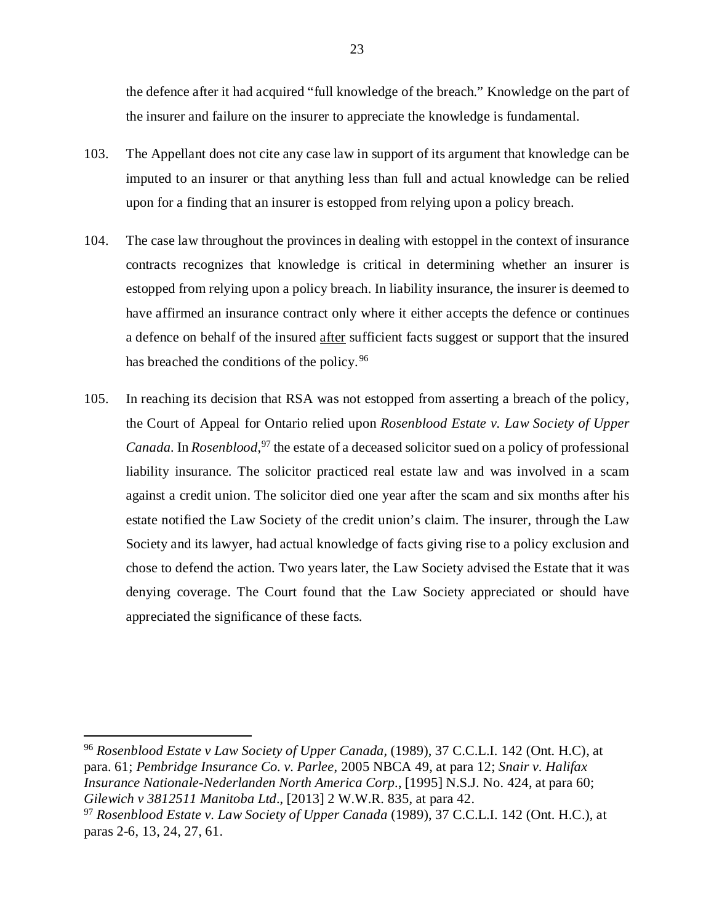the defence after it had acquired "full knowledge of the breach." Knowledge on the part of the insurer and failure on the insurer to appreciate the knowledge is fundamental.

- 103. The Appellant does not cite any case law in support of its argument that knowledge can be imputed to an insurer or that anything less than full and actual knowledge can be relied upon for a finding that an insurer is estopped from relying upon a policy breach.
- 104. The case law throughout the provinces in dealing with estoppel in the context of insurance contracts recognizes that knowledge is critical in determining whether an insurer is estopped from relying upon a policy breach. In liability insurance, the insurer is deemed to have affirmed an insurance contract only where it either accepts the defence or continues a defence on behalf of the insured after sufficient facts suggest or support that the insured has breached the conditions of the policy. [96](#page-27-0)
- 105. In reaching its decision that RSA was not estopped from asserting a breach of the policy, the Court of Appeal for Ontario relied upon *Rosenblood Estate v. Law Society of Upper Canada.* In *Rosenblood*, [97](#page-27-1) the estate of a deceased solicitor sued on a policy of professional liability insurance. The solicitor practiced real estate law and was involved in a scam against a credit union. The solicitor died one year after the scam and six months after his estate notified the Law Society of the credit union's claim. The insurer, through the Law Society and its lawyer, had actual knowledge of facts giving rise to a policy exclusion and chose to defend the action. Two years later, the Law Society advised the Estate that it was denying coverage. The Court found that the Law Society appreciated or should have appreciated the significance of these facts.

<span id="page-27-0"></span> 96 *Rosenblood Estate v Law Society of Upper Canada,* (1989), 37 C.C.L.I. 142 (Ont. H.C), at para. 61; *Pembridge Insurance Co. v. Parlee*, 2005 NBCA 49, at para 12; *Snair v. Halifax Insurance Nationale-Nederlanden North America Corp.*, [1995] N.S.J. No. 424, at para 60; *Gilewich v 3812511 Manitoba Ltd*., [2013] 2 W.W.R. 835, at para 42.

<span id="page-27-1"></span><sup>97</sup> *Rosenblood Estate v. Law Society of Upper Canada* (1989), 37 C.C.L.I. 142 (Ont. H.C.), at paras 2-6, 13, 24, 27, 61.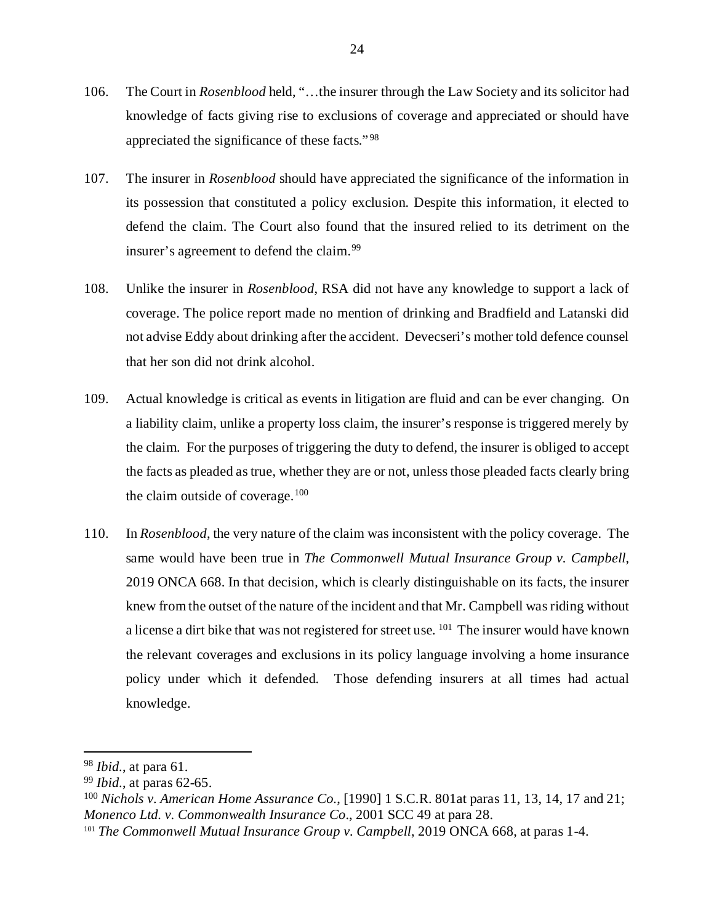- 106. The Court in *Rosenblood* held, "…the insurer through the Law Society and its solicitor had knowledge of facts giving rise to exclusions of coverage and appreciated or should have appreciated the significance of these facts." [98](#page-28-0)
- 107. The insurer in *Rosenblood* should have appreciated the significance of the information in its possession that constituted a policy exclusion. Despite this information, it elected to defend the claim. The Court also found that the insured relied to its detriment on the insurer's agreement to defend the claim.<sup>[99](#page-28-1)</sup>
- 108. Unlike the insurer in *Rosenblood*, RSA did not have any knowledge to support a lack of coverage. The police report made no mention of drinking and Bradfield and Latanski did not advise Eddy about drinking after the accident. Devecseri's mother told defence counsel that her son did not drink alcohol.
- 109. Actual knowledge is critical as events in litigation are fluid and can be ever changing. On a liability claim, unlike a property loss claim, the insurer's response is triggered merely by the claim. For the purposes of triggering the duty to defend, the insurer is obliged to accept the facts as pleaded as true, whether they are or not, unless those pleaded facts clearly bring the claim outside of coverage.<sup>100</sup>
- 110. In *Rosenblood*, the very nature of the claim was inconsistent with the policy coverage. The same would have been true in *The Commonwell Mutual Insurance Group v. Campbell*, 2019 ONCA 668. In that decision, which is clearly distinguishable on its facts, the insurer knew from the outset of the nature of the incident and that Mr. Campbell was riding without a license a dirt bike that was not registered for street use. <sup>[101](#page-28-3)</sup> The insurer would have known the relevant coverages and exclusions in its policy language involving a home insurance policy under which it defended. Those defending insurers at all times had actual knowledge.

<span id="page-28-0"></span> <sup>98</sup> *Ibid.*, at para 61.

<span id="page-28-1"></span><sup>99</sup> *Ibid.*, at paras 62-65.

<span id="page-28-2"></span><sup>100</sup> *Nichols v. American Home Assurance Co.*, [1990] 1 S.C.R. 801at paras 11, 13, 14, 17 and 21; *Monenco Ltd. v. Commonwealth Insurance Co*., 2001 SCC 49 at para 28.

<span id="page-28-3"></span><sup>&</sup>lt;sup>101</sup> *The Commonwell Mutual Insurance Group v. Campbell*, 2019 ONCA 668, at paras 1-4.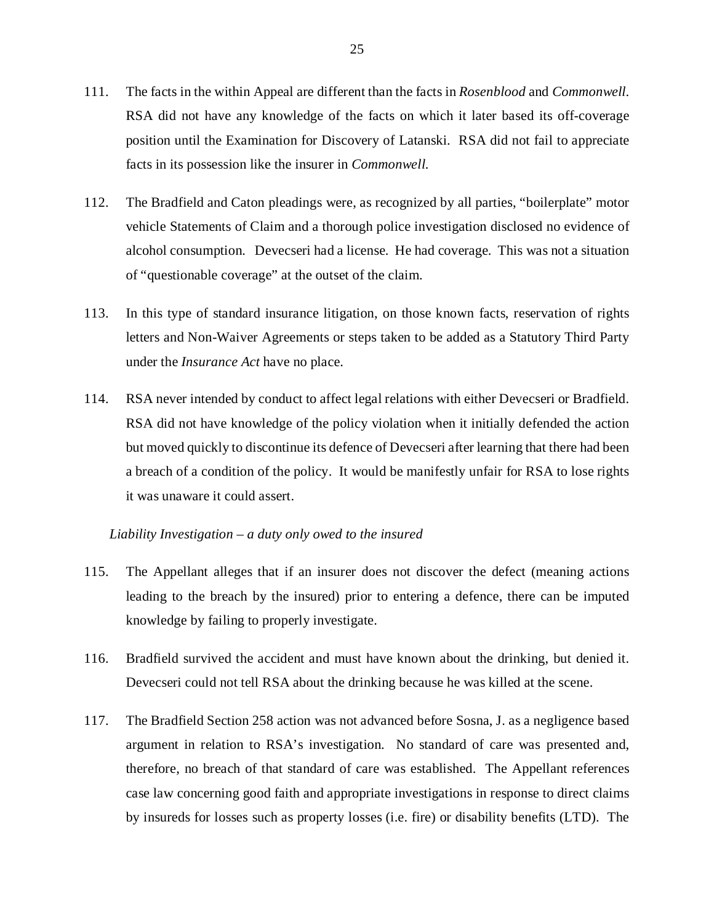- 111. The facts in the within Appeal are different than the facts in *Rosenblood* and *Commonwell*. RSA did not have any knowledge of the facts on which it later based its off-coverage position until the Examination for Discovery of Latanski. RSA did not fail to appreciate facts in its possession like the insurer in *Commonwell.*
- 112. The Bradfield and Caton pleadings were, as recognized by all parties, "boilerplate" motor vehicle Statements of Claim and a thorough police investigation disclosed no evidence of alcohol consumption. Devecseri had a license. He had coverage. This was not a situation of "questionable coverage" at the outset of the claim.
- 113. In this type of standard insurance litigation, on those known facts, reservation of rights letters and Non-Waiver Agreements or steps taken to be added as a Statutory Third Party under the *Insurance Act* have no place.
- 114. RSA never intended by conduct to affect legal relations with either Devecseri or Bradfield. RSA did not have knowledge of the policy violation when it initially defended the action but moved quickly to discontinue its defence of Devecseri after learning that there had been a breach of a condition of the policy. It would be manifestly unfair for RSA to lose rights it was unaware it could assert.

#### *Liability Investigation – a duty only owed to the insured*

- 115. The Appellant alleges that if an insurer does not discover the defect (meaning actions leading to the breach by the insured) prior to entering a defence, there can be imputed knowledge by failing to properly investigate.
- 116. Bradfield survived the accident and must have known about the drinking, but denied it. Devecseri could not tell RSA about the drinking because he was killed at the scene.
- 117. The Bradfield Section 258 action was not advanced before Sosna, J. as a negligence based argument in relation to RSA's investigation. No standard of care was presented and, therefore, no breach of that standard of care was established. The Appellant references case law concerning good faith and appropriate investigations in response to direct claims by insureds for losses such as property losses (i.e. fire) or disability benefits (LTD). The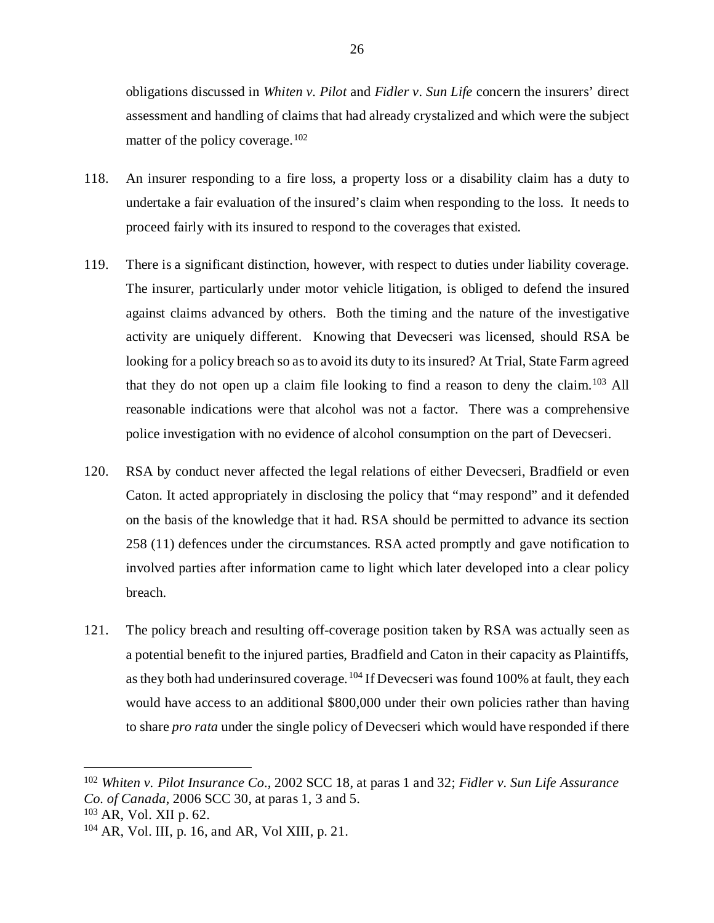obligations discussed in *Whiten v. Pilot* and *Fidler v. Sun Life* concern the insurers' direct assessment and handling of claims that had already crystalized and which were the subject matter of the policy coverage.<sup>102</sup>

- 118. An insurer responding to a fire loss, a property loss or a disability claim has a duty to undertake a fair evaluation of the insured's claim when responding to the loss. It needs to proceed fairly with its insured to respond to the coverages that existed.
- 119. There is a significant distinction, however, with respect to duties under liability coverage. The insurer, particularly under motor vehicle litigation, is obliged to defend the insured against claims advanced by others. Both the timing and the nature of the investigative activity are uniquely different. Knowing that Devecseri was licensed, should RSA be looking for a policy breach so as to avoid its duty to its insured? At Trial, State Farm agreed that they do not open up a claim file looking to find a reason to deny the claim.<sup>[103](#page-30-1)</sup> All reasonable indications were that alcohol was not a factor. There was a comprehensive police investigation with no evidence of alcohol consumption on the part of Devecseri.
- 120. RSA by conduct never affected the legal relations of either Devecseri, Bradfield or even Caton. It acted appropriately in disclosing the policy that "may respond" and it defended on the basis of the knowledge that it had. RSA should be permitted to advance its section 258 (11) defences under the circumstances. RSA acted promptly and gave notification to involved parties after information came to light which later developed into a clear policy breach.
- 121. The policy breach and resulting off-coverage position taken by RSA was actually seen as a potential benefit to the injured parties, Bradfield and Caton in their capacity as Plaintiffs, as they both had underinsured coverage.<sup>[104](#page-30-2)</sup> If Devecseri was found 100% at fault, they each would have access to an additional \$800,000 under their own policies rather than having to share *pro rata* under the single policy of Devecseri which would have responded if there

<span id="page-30-0"></span> <sup>102</sup> *Whiten v. Pilot Insurance Co.*, 2002 SCC 18, at paras 1 and 32; *Fidler v. Sun Life Assurance Co. of Canada*, 2006 SCC 30, at paras 1, 3 and 5.

<span id="page-30-1"></span><sup>103</sup> AR, Vol. XII p. 62.

<span id="page-30-2"></span><sup>104</sup> AR, Vol. III, p. 16, and AR, Vol XIII, p. 21.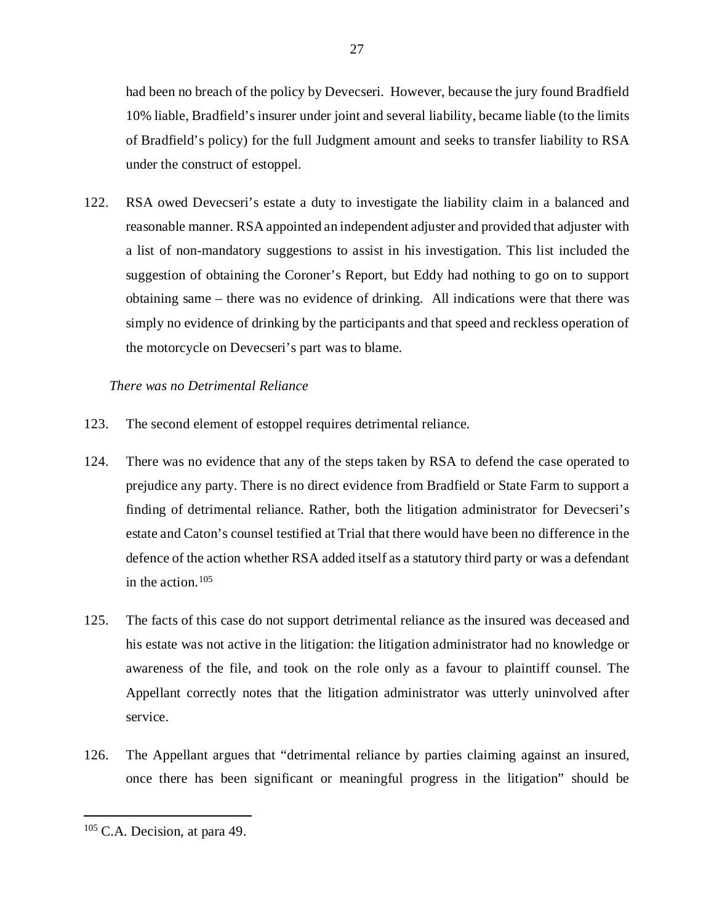had been no breach of the policy by Devecseri. However, because the jury found Bradfield 10% liable, Bradfield's insurer under joint and several liability, became liable (to the limits of Bradfield's policy) for the full Judgment amount and seeks to transfer liability to RSA under the construct of estoppel.

122. RSA owed Devecseri's estate a duty to investigate the liability claim in a balanced and reasonable manner. RSA appointed an independent adjuster and provided that adjuster with a list of non-mandatory suggestions to assist in his investigation. This list included the suggestion of obtaining the Coroner's Report, but Eddy had nothing to go on to support obtaining same – there was no evidence of drinking. All indications were that there was simply no evidence of drinking by the participants and that speed and reckless operation of the motorcycle on Devecseri's part was to blame.

## *There was no Detrimental Reliance*

- 123. The second element of estoppel requires detrimental reliance.
- 124. There was no evidence that any of the steps taken by RSA to defend the case operated to prejudice any party. There is no direct evidence from Bradfield or State Farm to support a finding of detrimental reliance. Rather, both the litigation administrator for Devecseri's estate and Caton's counsel testified at Trial that there would have been no difference in the defence of the action whether RSA added itself as a statutory third party or was a defendant in the action.  $105$
- 125. The facts of this case do not support detrimental reliance as the insured was deceased and his estate was not active in the litigation: the litigation administrator had no knowledge or awareness of the file, and took on the role only as a favour to plaintiff counsel. The Appellant correctly notes that the litigation administrator was utterly uninvolved after service.
- 126. The Appellant argues that "detrimental reliance by parties claiming against an insured, once there has been significant or meaningful progress in the litigation" should be

27

<span id="page-31-0"></span> <sup>105</sup> C.A. Decision, at para 49.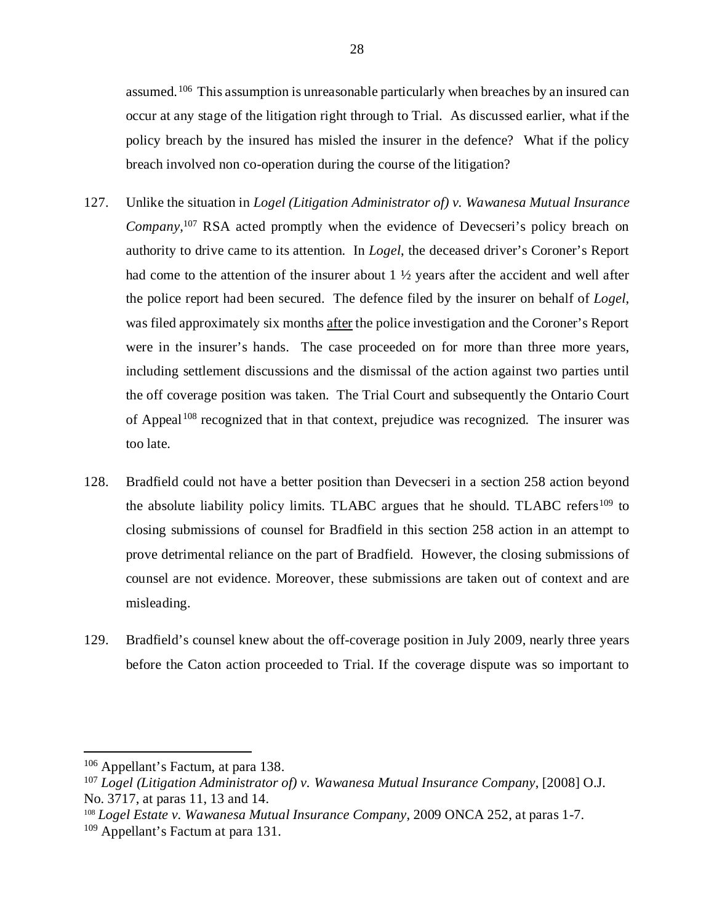assumed.<sup>106</sup> This assumption is unreasonable particularly when breaches by an insured can occur at any stage of the litigation right through to Trial. As discussed earlier, what if the policy breach by the insured has misled the insurer in the defence? What if the policy breach involved non co-operation during the course of the litigation?

- 127. Unlike the situation in *Logel (Litigation Administrator of) v. Wawanesa Mutual Insurance*  Company,<sup>[107](#page-32-1)</sup> RSA acted promptly when the evidence of Devecseri's policy breach on authority to drive came to its attention. In *Logel*, the deceased driver's Coroner's Report had come to the attention of the insurer about 1  $\frac{1}{2}$  years after the accident and well after the police report had been secured. The defence filed by the insurer on behalf of *Logel*, was filed approximately six months after the police investigation and the Coroner's Report were in the insurer's hands. The case proceeded on for more than three more years, including settlement discussions and the dismissal of the action against two parties until the off coverage position was taken. The Trial Court and subsequently the Ontario Court of Appeal<sup>[108](#page-32-2)</sup> recognized that in that context, prejudice was recognized. The insurer was too late.
- 128. Bradfield could not have a better position than Devecseri in a section 258 action beyond the absolute liability policy limits. TLABC argues that he should. TLABC refers<sup>[109](#page-32-3)</sup> to closing submissions of counsel for Bradfield in this section 258 action in an attempt to prove detrimental reliance on the part of Bradfield. However, the closing submissions of counsel are not evidence. Moreover, these submissions are taken out of context and are misleading.
- 129. Bradfield's counsel knew about the off-coverage position in July 2009, nearly three years before the Caton action proceeded to Trial. If the coverage dispute was so important to

<span id="page-32-0"></span> <sup>106</sup> Appellant's Factum, at para 138.

<span id="page-32-1"></span><sup>107</sup> *Logel (Litigation Administrator of) v. Wawanesa Mutual Insurance Company*, [2008] O.J. No. 3717, at paras 11, 13 and 14.

<span id="page-32-2"></span><sup>108</sup> *Logel Estate v. Wawanesa Mutual Insurance Company*, 2009 ONCA 252, at paras 1-7.

<span id="page-32-3"></span><sup>109</sup> Appellant's Factum at para 131.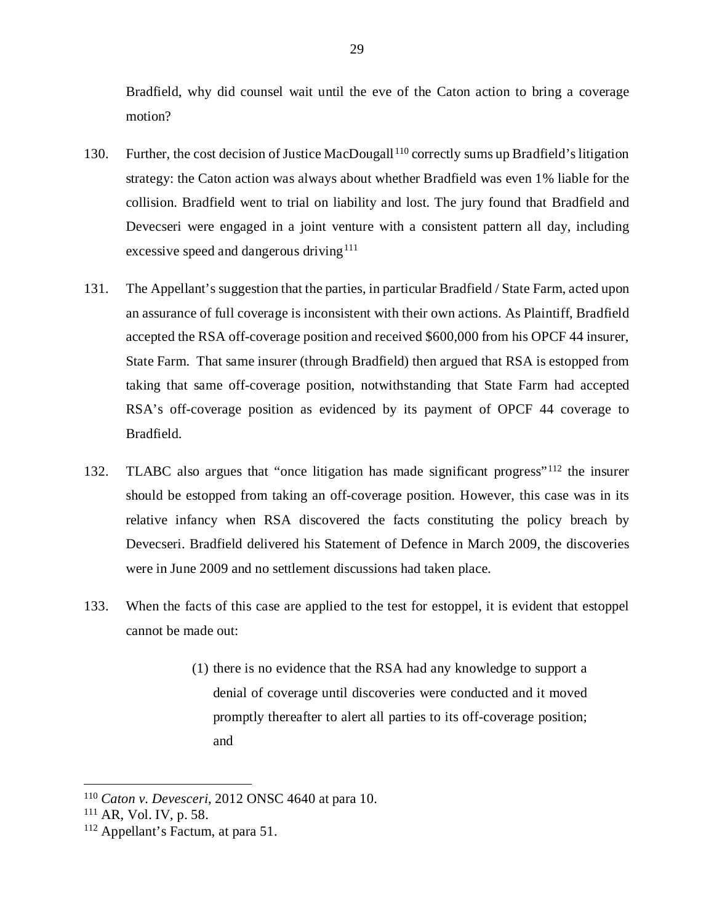Bradfield, why did counsel wait until the eve of the Caton action to bring a coverage motion?

- 130. Further, the cost decision of Justice MacDougall [110](#page-33-0) correctly sums up Bradfield's litigation strategy: the Caton action was always about whether Bradfield was even 1% liable for the collision. Bradfield went to trial on liability and lost. The jury found that Bradfield and Devecseri were engaged in a joint venture with a consistent pattern all day, including excessive speed and dangerous driving<sup>[111](#page-33-1)</sup>
- 131. The Appellant's suggestion that the parties, in particular Bradfield / State Farm, acted upon an assurance of full coverage is inconsistent with their own actions. As Plaintiff, Bradfield accepted the RSA off-coverage position and received \$600,000 from his OPCF 44 insurer, State Farm. That same insurer (through Bradfield) then argued that RSA is estopped from taking that same off-coverage position, notwithstanding that State Farm had accepted RSA's off-coverage position as evidenced by its payment of OPCF 44 coverage to Bradfield.
- 132. TLABC also argues that "once litigation has made significant progress"[112](#page-33-2) the insurer should be estopped from taking an off-coverage position. However, this case was in its relative infancy when RSA discovered the facts constituting the policy breach by Devecseri. Bradfield delivered his Statement of Defence in March 2009, the discoveries were in June 2009 and no settlement discussions had taken place.
- 133. When the facts of this case are applied to the test for estoppel, it is evident that estoppel cannot be made out:
	- (1) there is no evidence that the RSA had any knowledge to support a denial of coverage until discoveries were conducted and it moved promptly thereafter to alert all parties to its off-coverage position; and

<span id="page-33-0"></span> <sup>110</sup> *Caton v. Devesceri*, 2012 ONSC 4640 at para 10.

<span id="page-33-1"></span><sup>111</sup> AR, Vol. IV, p. 58.

<span id="page-33-2"></span><sup>112</sup> Appellant's Factum, at para 51.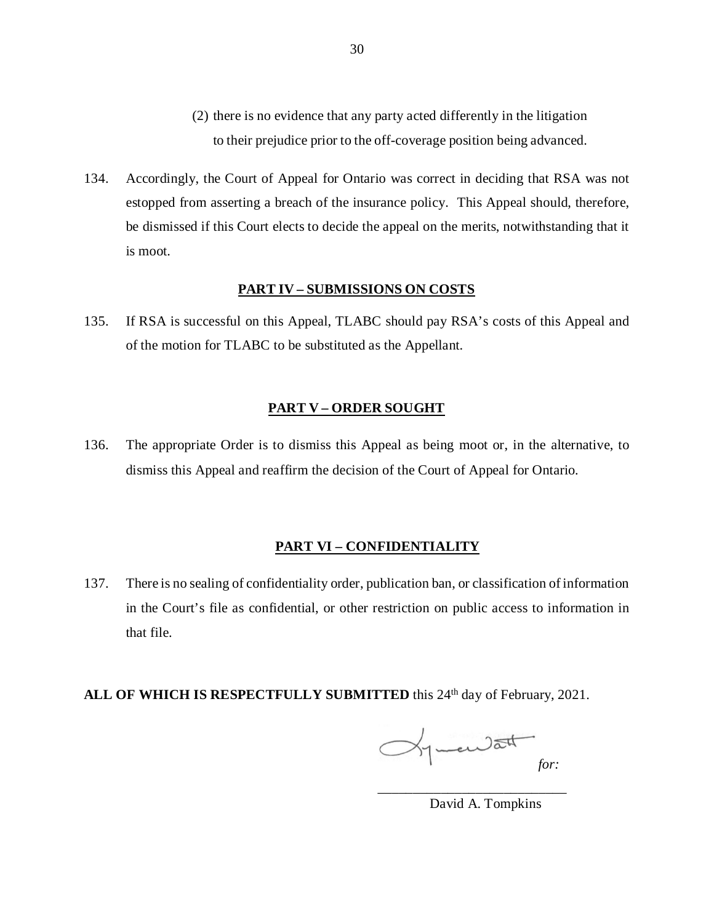- (2) there is no evidence that any party acted differently in the litigation to their prejudice prior to the off-coverage position being advanced.
- 134. Accordingly, the Court of Appeal for Ontario was correct in deciding that RSA was not estopped from asserting a breach of the insurance policy. This Appeal should, therefore, be dismissed if this Court elects to decide the appeal on the merits, notwithstanding that it is moot.

#### **PART IV – SUBMISSIONS ON COSTS**

135. If RSA is successful on this Appeal, TLABC should pay RSA's costs of this Appeal and of the motion for TLABC to be substituted as the Appellant.

#### **PART V – ORDER SOUGHT**

136. The appropriate Order is to dismiss this Appeal as being moot or, in the alternative, to dismiss this Appeal and reaffirm the decision of the Court of Appeal for Ontario.

## **PART VI – CONFIDENTIALITY**

137. There is no sealing of confidentiality order, publication ban, or classification of information in the Court's file as confidential, or other restriction on public access to information in that file.

# ALL OF WHICH IS RESPECTFULLY SUBMITTED this 24<sup>th</sup> day of February, 2021.

guardat *for:*

\_\_\_\_\_\_\_\_\_\_\_\_\_\_\_\_\_\_\_\_\_\_\_\_\_\_\_

David A. Tompkins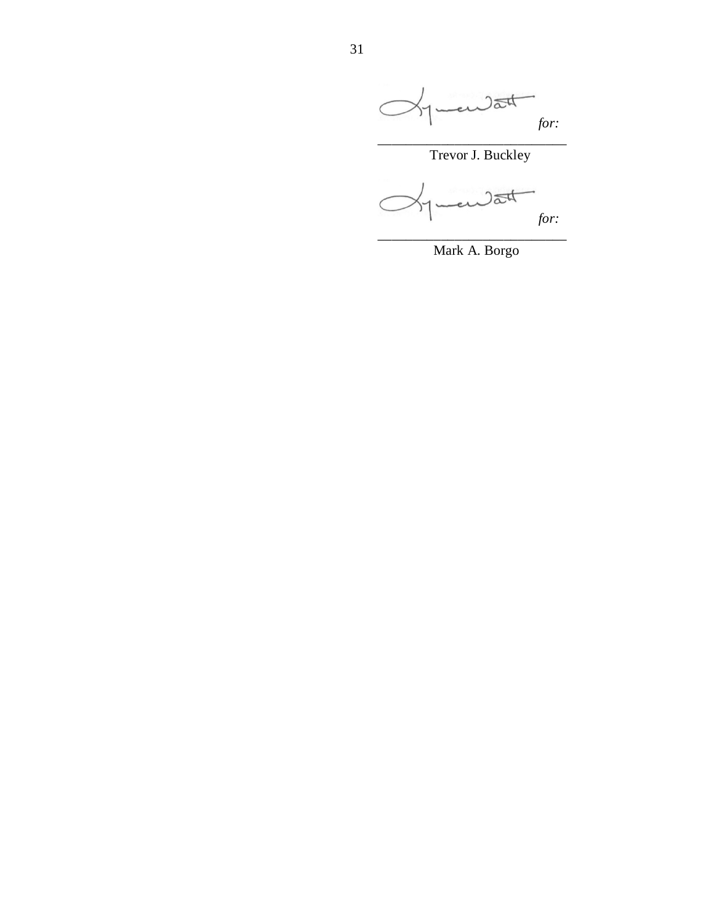

Mark A. Borgo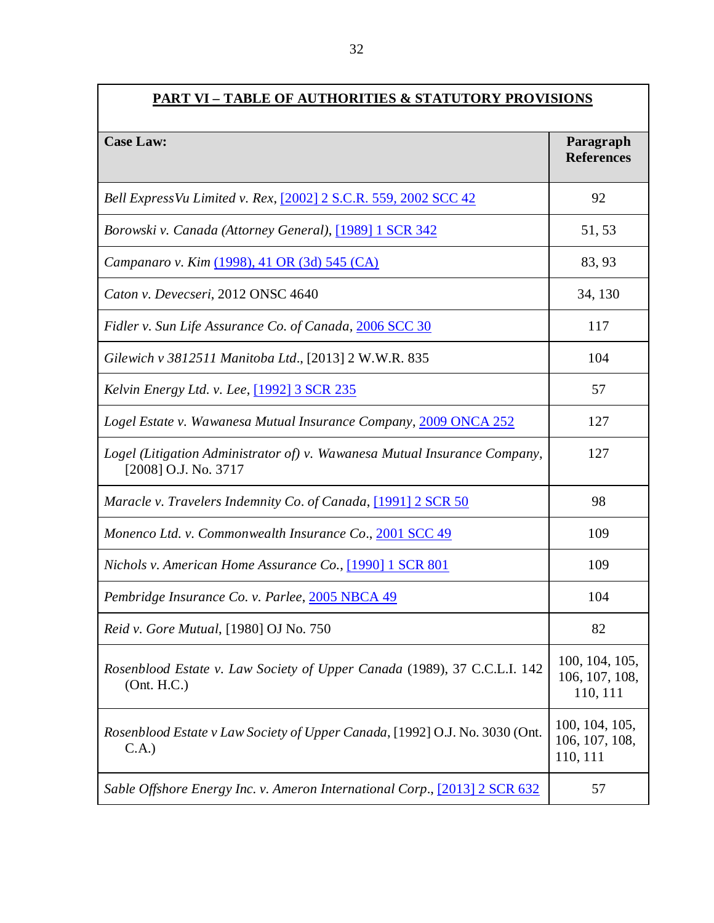| <b>PART VI - TABLE OF AUTHORITIES &amp; STATUTORY PROVISIONS</b>                                  |                                              |  |
|---------------------------------------------------------------------------------------------------|----------------------------------------------|--|
| <b>Case Law:</b>                                                                                  | Paragraph<br><b>References</b>               |  |
| Bell Express Vu Limited v. Rex, [2002] 2 S.C.R. 559, 2002 SCC 42                                  | 92                                           |  |
| Borowski v. Canada (Attorney General), [1989] 1 SCR 342                                           | 51, 53                                       |  |
| Campanaro v. Kim (1998), 41 OR (3d) 545 (CA)                                                      | 83, 93                                       |  |
| Caton v. Devecseri, 2012 ONSC 4640                                                                | 34, 130                                      |  |
| Fidler v. Sun Life Assurance Co. of Canada, 2006 SCC 30                                           | 117                                          |  |
| Gilewich v 3812511 Manitoba Ltd., [2013] 2 W.W.R. 835                                             | 104                                          |  |
| <i>Kelvin Energy Ltd. v. Lee,</i> [1992] 3 SCR 235                                                | 57                                           |  |
| Logel Estate v. Wawanesa Mutual Insurance Company, 2009 ONCA 252                                  | 127                                          |  |
| Logel (Litigation Administrator of) v. Wawanesa Mutual Insurance Company,<br>[2008] O.J. No. 3717 | 127                                          |  |
| Maracle v. Travelers Indemnity Co. of Canada, [1991] 2 SCR 50                                     | 98                                           |  |
| Monenco Ltd. v. Commonwealth Insurance Co., 2001 SCC 49                                           | 109                                          |  |
| Nichols v. American Home Assurance Co., [1990] 1 SCR 801                                          | 109                                          |  |
| Pembridge Insurance Co. v. Parlee, 2005 NBCA 49                                                   | 104                                          |  |
| Reid v. Gore Mutual, [1980] OJ No. 750                                                            | 82                                           |  |
| Rosenblood Estate v. Law Society of Upper Canada (1989), 37 C.C.L.I. 142<br>(Ont. H.C.)           | 100, 104, 105,<br>106, 107, 108,<br>110, 111 |  |
| Rosenblood Estate v Law Society of Upper Canada, [1992] O.J. No. 3030 (Ont.<br>C.A.)              | 100, 104, 105,<br>106, 107, 108,<br>110, 111 |  |
| Sable Offshore Energy Inc. v. Ameron International Corp., [2013] 2 SCR 632                        | 57                                           |  |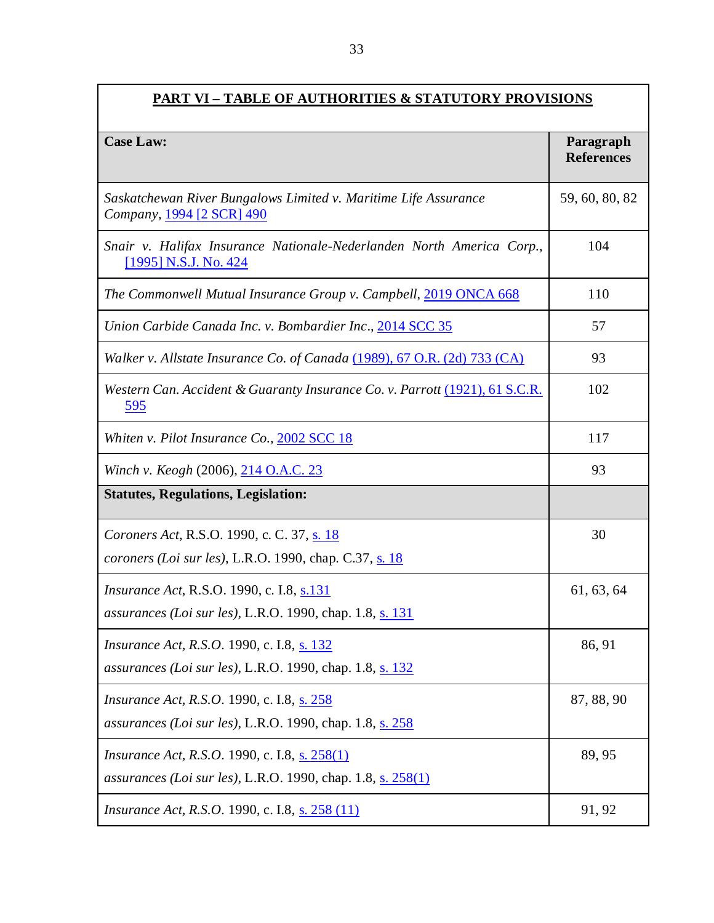| <b>PART VI - TABLE OF AUTHORITIES &amp; STATUTORY PROVISIONS</b>                                                            |                                |  |
|-----------------------------------------------------------------------------------------------------------------------------|--------------------------------|--|
| <b>Case Law:</b>                                                                                                            | Paragraph<br><b>References</b> |  |
| Saskatchewan River Bungalows Limited v. Maritime Life Assurance<br>Company, 1994 [2 SCR] 490                                | 59, 60, 80, 82                 |  |
| Snair v. Halifax Insurance Nationale-Nederlanden North America Corp.,<br>[1995] N.S.J. No. 424                              | 104                            |  |
| The Commonwell Mutual Insurance Group v. Campbell, 2019 ONCA 668                                                            | 110                            |  |
| Union Carbide Canada Inc. v. Bombardier Inc., 2014 SCC 35                                                                   | 57                             |  |
| Walker v. Allstate Insurance Co. of Canada $(1989)$ , 67 O.R. (2d) 733 (CA)                                                 | 93                             |  |
| Western Can. Accident & Guaranty Insurance Co. v. Parrott (1921), 61 S.C.R.<br>595                                          | 102                            |  |
| Whiten v. Pilot Insurance Co., 2002 SCC 18                                                                                  | 117                            |  |
| Winch v. Keogh (2006), 214 O.A.C. 23                                                                                        | 93                             |  |
| <b>Statutes, Regulations, Legislation:</b>                                                                                  |                                |  |
| Coroners Act, R.S.O. 1990, c. C. 37, s. 18<br>coroners (Loi sur les), L.R.O. 1990, chap. C.37, s. $18$                      | 30                             |  |
| <i>Insurance Act</i> , R.S.O. 1990, c. I.8, s.131<br>assurances (Loi sur les), L.R.O. 1990, chap. 1.8, s. 131               | 61, 63, 64                     |  |
| <i>Insurance Act, R.S.O.</i> 1990, c. I.8, s. 132<br>assurances (Loi sur les), L.R.O. 1990, chap. 1.8, s. 132               | 86, 91                         |  |
| <i>Insurance Act, R.S.O.</i> 1990, c. I.8, s. 258<br>assurances (Loi sur les), L.R.O. 1990, chap. 1.8, s. 258               | 87, 88, 90                     |  |
| <i>Insurance Act, R.S.O.</i> 1990, c. I.8, s. 258(1)<br><i>assurances (Loi sur les)</i> , L.R.O. 1990, chap. 1.8, s. 258(1) | 89,95                          |  |
| <i>Insurance Act, R.S.O.</i> 1990, c. I.8, s. 258 (11)                                                                      | 91, 92                         |  |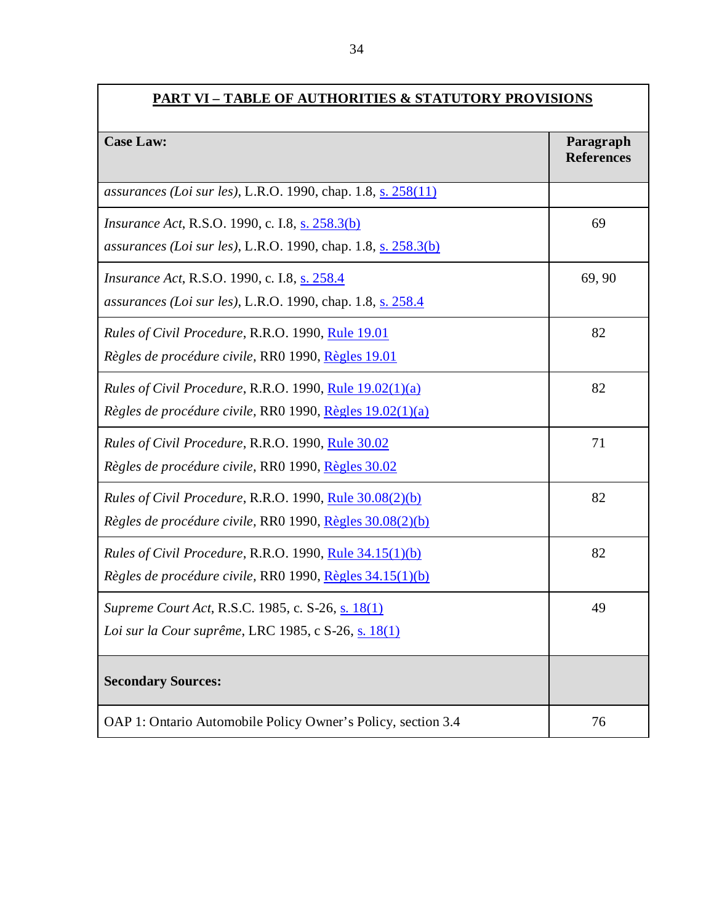| <b>PART VI – TABLE OF AUTHORITIES &amp; STATUTORY PROVISIONS</b>                                                             |                                |  |
|------------------------------------------------------------------------------------------------------------------------------|--------------------------------|--|
| <b>Case Law:</b>                                                                                                             | Paragraph<br><b>References</b> |  |
| assurances (Loi sur les), L.R.O. 1990, chap. 1.8, s. 258(11)                                                                 |                                |  |
| <i>Insurance Act, R.S.O. 1990, c. I.8, s. 258.3(b)</i><br>assurances (Loi sur les), L.R.O. 1990, chap. 1.8, s. 258.3(b)      | 69                             |  |
| <i>Insurance Act</i> , R.S.O. 1990, c. I.8, s. 258.4<br>assurances (Loi sur les), L.R.O. 1990, chap. 1.8, s. 258.4           | 69,90                          |  |
| Rules of Civil Procedure, R.R.O. 1990, Rule 19.01<br>Règles de procédure civile, RR0 1990, Règles 19.01                      | 82                             |  |
| <i>Rules of Civil Procedure, R.R.O.</i> 1990, Rule $19.02(1)(a)$<br>Règles de procédure civile, RR0 1990, Règles 19.02(1)(a) | 82                             |  |
| Rules of Civil Procedure, R.R.O. 1990, Rule 30.02<br>Règles de procédure civile, RR0 1990, Règles 30.02                      | 71                             |  |
| Rules of Civil Procedure, R.R.O. 1990, Rule 30.08(2)(b)<br>Règles de procédure civile, RR0 1990, Règles 30.08(2)(b)          | 82                             |  |
| <i>Rules of Civil Procedure, R.R.O. 1990, Rule 34.15(1)(b)</i><br>Règles de procédure civile, RR0 1990, Règles 34.15(1)(b)   | 82                             |  |
| Supreme Court Act, R.S.C. 1985, c. S-26, s. 18(1)<br>Loi sur la Cour suprême, LRC 1985, c S-26, s. 18(1)                     | 49                             |  |
| <b>Secondary Sources:</b>                                                                                                    |                                |  |
| OAP 1: Ontario Automobile Policy Owner's Policy, section 3.4                                                                 | 76                             |  |